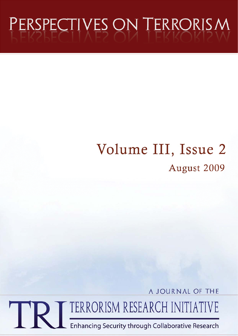# PERSPECTIVES ON TERRORISM

## Volume III, Issue 2 August 2009

A JOURNAL OF THE TERRORISM RESEARCH INITIATIVE

Enhancing Security through Collaborative Research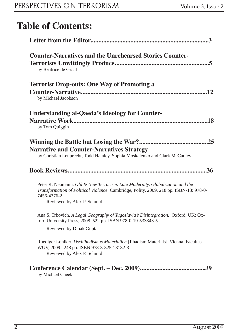### **Table of Contents:**

| <b>Counter-Narratives and the Unrehearsed Stories Counter-</b><br>by Beatrice de Graaf                                                                                                                              |
|---------------------------------------------------------------------------------------------------------------------------------------------------------------------------------------------------------------------|
| <b>Terrorist Drop-outs: One Way of Promoting a</b><br>by Michael Jacobson                                                                                                                                           |
| <b>Understanding al-Qaeda's Ideology for Counter-</b><br>by Tom Quiggin                                                                                                                                             |
| .25<br><b>Narrative and Counter-Narratives Strategy</b><br>by Christian Leuprecht, Todd Hataley, Sophia Moskalenko and Clark McCauley                                                                               |
| .36                                                                                                                                                                                                                 |
| Peter R. Neumann. Old & New Terrorism. Late Modernity, Globalization and the<br>Transformation of Political Violence. Cambridge, Polity, 2009. 218 pp. ISBN-13: 978-0-<br>7456-4376-2<br>Reviewed by Alex P. Schmid |
| Ana S. Trbovich. A Legal Geography of Yugoslavia's Disintegration. Oxford, UK: Ox-<br>ford University Press, 2008. 522 pp. ISBN 978-0-19-533343-5                                                                   |
| Reviewed by Dipak Gupta                                                                                                                                                                                             |
| Ruediger Lohlker. Dschihadismus Materialien [Jihadism Materials]. Vienna, Facultas<br>WUV, 2009. 248 pp. ISBN 978-3-8252-3132-3<br>Reviewed by Alex P. Schmid                                                       |
| .39<br>by Michael Cheek                                                                                                                                                                                             |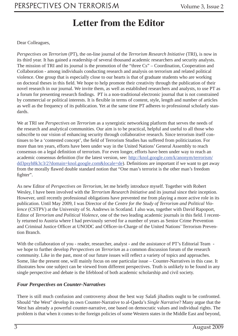### **Letter from the Editor**

Dear Colleagues,

*Perspectives on Terrorism* (PT), the on-line journal of the *Terrorism Research Initiative* (TRI), is now in its third year. It has gained a readership of several thousand academic researchers and security analysts. The mission of TRI and its journal is the promotion of the "three Cs" – Coordination, Cooperation and Collaboration - among individuals conducting research and analysis on terrorism and related political violence. One group that is especially close to our hearts is that of graduate students who are working on doctoral theses in this field. We hope to help promote their creativity through the publication of their novel research in our journal. We invite them, as well as established researchers and analysts, to use PT as a forum for presenting research findings. PT is a non-traditional electronic journal that is not constrained by commercial or political interests. It is flexible in terms of content, style, length and number of articles as well as the frequency of its publication. Yet at the same time PT adheres to professional scholarly standards.

We at TRI see *Perspectives on Terrorism* as a synergistic networking platform that serves the needs of the research and analytical communities. Our aim is to be practical, helpful and useful to all those who subscribe to our vision of enhancing security through collaborative research. Since terrorism itself continues to be a 'contested concept', the field of Terrorism Studies has suffered from politicization. For more than ten years, efforts have been under way in the United Nations' General Assembly to reach consensus on a legal definition of terrorism. For even longer, efforts have been under way to reach an academic consensus definition (for the latest version, see: http://knol.google.com/k/anonym/terrorism/ dd3psyh8k3c3/2?domain=knol.google.com&locale=de). Definitions are important if we want to get away from the morally flawed double standard notion that "One man's terrorist is the other man's freedom fighter".

As new Editor of *Perspectives on Terrorism*, let me briefly introduce myself. Together with Robert Wesley, I have been involved with the *Terrorism Research Initiative* and its journal since their inception. However, until recently professional obligations have prevented me from playing a more active role in its publication. Until May 2009, I was Director of the *Centre for the Study of Terrorism and Political Violence* (CSTPV) at the University of St. Andrews in Scotland. I also was, together with David Rapoport, Editor of *Terrorism and Political Violence*, one of the two leading academic journals in this field. I recently returned to Austria where I had previously served for a number of years as Senior Crime Prevention and Criminal Justice Officer at UNODC and Officer-in-Charge of the United Nations' Terrorism Prevention Branch.

With the collaboration of you - reader, researcher, analyst - and the assistance of PT's Editorial Team we hope to further develop *Perspectives on Terrorism* as a common discussion forum of the research community. Like in the past, most of our future issues will reflect a variety of topics and approaches. Some, like the present one, will mainly focus on one particular issue – Counter-Narratives in this case. It illustrates how one subject can be viewed from different perspectives. Truth is unlikely to be found in any single perspective and debate is the lifeblood of both academic scholarship and civil society.

#### *Four Perspectives on Counter-Narratives*

There is still much confusion and controversy about the best way Salafi jihadists ought to be confronted. Should "the West" develop its own Counter-Narrative to al-Qaeda's *Single Narrative*? Many argue that the West has already a powerful counter-narrative, one based on democratic values and individual rights. The problem is that when it comes to the foreign policies of some Western states in the Middle East and beyond,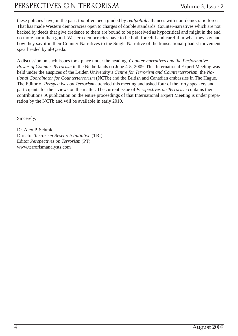### PERSPECTIVES ON TERRORISM Volume 3, Issue 2

these policies have, in the past, too often been guided by *realpolitik* alliances with non-democratic forces. That has made Western democracies open to charges of double standards. Counter-narratives which are not backed by deeds that give credence to them are bound to be perceived as hypocritical and might in the end do more harm than good. Western democracies have to be both forceful and careful in what they say and how they say it in their Counter-Narratives to the Single Narrative of the transnational jihadist movement spearheaded by al-Qaeda.

A discussion on such issues took place under the heading *Counter-narratives and the Performative Power of Counter-Terrorism* in the Netherlands on June 4-5, 2009. This International Expert Meeting was held under the auspices of the Leiden University's *Centre for Terrorism and Counterterrorism*, the *National Coordinator for Counterterrorism* (NCTb) and the British and Canadian embassies in The Hague. The Editor of *Perspectives on Terrorism* attended this meeting and asked four of the forty speakers and participants for their views on the matter. The current issue of *Perspectives on Terrorism* contains their contributions. A publication on the entire proceedings of that International Expert Meeting is under preparation by the NCTb and will be available in early 2010.

Sincerely,

Dr. Alex P. Schmid Director *Terrorism Research Initiative* (TRI) Editor *Perspectives on Terrorism* (PT) www.terrorismanalysts.com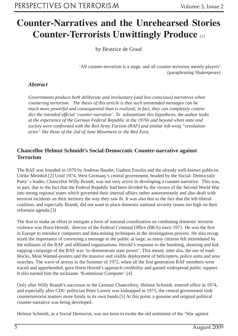### **Counter-Narratives and the Unrehearsed Stories Counter-Terrorists Unwittingly Produce** [1]

by Beatrice de Graaf

'All counter-terrorism is a stage, and all counter-terrorists merely players' (paraphrasing Shakespeare)

#### *Abstract*

*Governments produce both deliberate and involuntary (and less conscious) narratives when countering terrorism. The thesis of this article is that such unintended messages can be much more powerful and consequential than is realized; in fact, they can completely contradict the intended official 'counter-narrative'. To substantiate this hypothesis, the author looks at the experience of the German Federal Republic in the 1970s and beyond when state and society were confronted with the Red Army Faction (RAF) and similar left-wing "revolutionaries" like those of the 2nd of June Movement or the Red Zora.*

#### **Chancellor Helmut Schmidt's Social-Democratic Counter-narrative against Terrorism**

The RAF was founded in 1970 by Andreas Baader, Gudrun Ensslin and the already well-known publicist Ulrike Meinhof.[2] Until 1974, West Germany's central government, headed by the Social- Democratic Party' s leader, Chancellor Willy Brandt, was not very active in developing a counter-narrative. This was, in part, due to the fact that the Federal Republic had been divided by the victors of the Second World War into strong regional states which governed their internal affairs rather autonomously and also dealt with terrorist incidents on their territory the way they saw fit. It was also due to the fact that the left-liberal coalition, and especially Brandt, did not want to place domestic national security issues too high on their reformist agenda.[3]

The first to make an effort to instigate a form of national coordination on combating domestic terrorist violence was Horst Herold, director of the Federal Criminal Office (BKA) since 1971. He was the first in Europe to introduce computers and data-mining techniques in the investigation process. He also recognized the importance of conveying a message to the public at large, as many citizens felt intimidated by the militants of the RAF and affiliated organisations. Herold's response to the bombing, shooting and kidnapping campaign of the RAF was 'to demonstrate state power'. This meant, inter alia, the use of roadblocks, Most Wanted-posters and the massive and visible deployment of helicopters, police units and area searches. The wave of arrests in the Summer of 1972, when all the first generation RAF members were traced and apprehended, gave Horst Herold's approach credibility and gained widespread public support. It also earned him the nickname 'Kommissar Computer'.[4]

Only after Willy Brandt's successor in the German Chancellery, Helmut Schmidt, entered office in 1974, and especially after CDU politician Peter Lorenz was kidnapped in 1975, the central government took counterterrorist matters more firmly in its own hands.[5] At this point, a genuine and original political counter-narrative was being developed.

Helmut Schmidt, as a Social Democrat, was not keen to evoke the old sentiment of the 'War against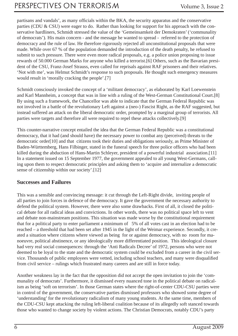partisans and vandals', as many officials within the BKA, the security apparatus and the conservative parties (CDU & CSU) were eager to do. Rather than looking for support for his approach with the conservative hardliners, Schmidt stressed the value of the 'Gemeinsamkeit der Demokraten' ('communality of democrats'). His main concern - and the message he wanted to spread - referred to the protection of democracy and the rule of law. He therefore rigorously rejected all unconstitutional proposals that were made. While over 67 % of the population demanded the introduction of the death penalty, he refused to submit to such pressure. There were even more radical proposals, e.g. a police union proposing to issue rewards of 50.000 German Marks for anyone who killed a terrorist.[6] Others, such as the Bavarian president of the CSU, Franz-Josef Strauss, even called for reprisals against RAF prisoners and their relatives. 'Not with me', was Helmut Schmidt's response to such proposals. He thought such emergency measures would result in 'morally cracking the people'.[7]

Schmidt consciously invoked the concept of a 'militant democracy', as elaborated by Karl Loewenstein and Karl Mannheim, a concept that was in line with a ruling of the West-German Constitutional Court.[8] By using such a framework, the Chancellor was able to indicate that the German Federal Republic was not involved in a battle of the revolutionary Left against a (neo-) Fascist Right, as the RAF suggested, but instead suffered an attack on the liberal democratic order, prompted by a marginal group of terrorists. All parties were targets and therefore all were required to repel these attacks collectively.[9]

This counter-narrative concept entailed the idea that the German Federal Republic was a constitutional democracy, that it had (and should have) the necessary power to combat any (perceived) threats to the democratic order[10] and that citizens took their duties and obligations seriously, as Prime Minister of Baden-Württemberg, Hans Filbinger, stated in the funeral speech for three police officers who had been killed during the abduction of Hans-Martin Schleyer, president of a powerful industrial association.[11] In a statement issued on 15 September 1977, the government appealed to all young West-Germans, calling upon them to respect democratic principles and asking them to 'acquire and internalize a democratic sense of citizenship within our society'.[12]

#### **Successes and Failures**

This was a sensible and convincing message: it cut through the Left-Right divide, inviting people of all parties to join forces in defence of the democracy. It gave the government the necessary authority to defend the political system. However, there were also some drawbacks. First of all, it closed the political debate for all radical ideas and convictions. In other words, there was no political space left to vent and debate non-mainstream positions. This situation was made worse by the constitutional requirement that for a political party to enter parliament a minimum of 5% of all votes cast in an election had to be reached – a threshold that had been set after 1945 in the light of the Weimar experience. Secondly, it created a situation where citizens where viewed as being for or against democracy, with no room for manoeuvre, political abstinence, or any ideologically more differentiated position. This ideological closure had very real social consequences: through the 'Anti Radicals Decree' of 1972, persons who were not deemed to be loyal to the state and the democratic system could be excluded from a career in the civil service. Thousands of public employees were vetted, including school teachers, and many were disqualified from civil service – rulings which frustrated many careers and are still in force today.

Another weakness lay in the fact that the opposition did not accept the open invitation to join the 'communality of democrats'. Furthermore, it dismissed every nuanced tone in the political debate on radicalism as being 'soft on terrorism'. In those German states where the right-of-center CDU-CSU parties were in control of the government, the conservative parties dismissed professors who showed some degree of 'understanding' for the revolutionary radicalism of many young students. At the same time, members of the CDU-CSU kept attacking the ruling left-liberal coalition because of its allegedly soft stanced towards those who wanted to change society by violent actions. The Christian Democrats, notably CDU's party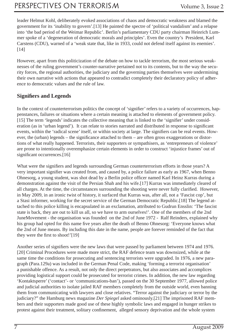leader Helmut Kohl, deliberately evoked associations of chaos and democratic weakness and blamed the government for its 'inability to govern'.[13] He painted the spectre of 'political vandalism' and a relapse into 'the bad period of the Weimar Republic'. Berlin's parliamentary CDU party chairman Heinrich Lummer spoke of a 'degeneration of democratic morals and principles'. Even the country's President, Karl Carstens (CDU), warned of a 'weak state that, like in 1933, could not defend itself against its enemies'. [14]

However, apart from this politicization of the debate on how to tackle terrorism, the most serious weaknesses of the ruling government's counter-narrative pertained not to its contents, but to the way the security forces, the regional authorities, the judiciary and the governing parties themselves were undermining their own narrative with actions that appeared to contradict completely their declaratory policy of adherence to democratic values and the rule of law.

#### **Signifiers and Legends**

In the context of counterterrorism politics the concept of 'signifier' refers to a variety of occurrences, happenstances, failures or situations where a certain meaning is attached to elements of government policy. [15] The term 'legends' indicates the collective meaning that is linked to the 'signifier' under consideration (as in 'urban legend'). It can relate to stories narrated and distributed in response to significant events, within the 'radical scene' itself, or within society at large. The signifiers can be real events. However, the (urban) legends – the significance attached to them – are often gross exaggerations or distortions of what really happened. Terrorists, their supporters or sympathisers, as 'entrepreneurs of violence' are prone to intentionally overemphasize certain elements in order to construct 'injustice frames' out of significant occurrences.[16]

What were the signifiers and legends surrounding German counterterrorism efforts in those years? A very important signifier was created from, and caused by, a police failure as early as 1967, when Benno Ohnesorg, a young student, was shot dead by a Berlin police officer named Karl Heinz Kurras during a demonstration against the visit of the Persian Shah and his wife.[17] Kurras was immediately cleared of all charges. At the time, the circumstances surrounding the shooting were never fully clarified. However, in May 2009, in an ironic twist of history, it surfaced that Kurras was, after all, not a 'Fascist cop', but a Stasi informer, working for the secret service of the German Democratic Republic.[18] The legend attached to this police killing is encapsulated in an exclamation, attributed to Gudrun Ensslin: 'The fascist state is back, they are out to kill us all, so we have to arm ourselves!'. One of the members of the 2nd JuneMovement - the organisation was founded on the 2nd of June 1972 - Ralf Reinders, explained why his group had opted for this name five years after the death of Benno Ohnesorg: 'Everyone knows what the 2nd of June means. By including this date in the name, people are forever reminded of the fact that they were the first to shoot!'[19]

Another series of signifiers were the new laws that were passed by parliament between 1974 and 1976. [20] Criminal Procedures were made more strict, the RAF defence team was downsized, while at the same time the conditions for prosecuting and sentencing terrorists were upgraded. In 1976, a new paragraph (Para.129a) was included in the German Penal Code, making 'forming a terrorist organisation' a punishable offence. As a result, not only the direct perpetrators, but also associates and accomplices providing logistical support could be prosecuted for terrorist crimes. In addition, the new law regarding 'Kontaktsperre' ('contact'- or 'communications-ban'), passed on the 30 September 1977, allowed police and judicial authorities to isolate jailed RAF members completely from the outside world, even banning them from communicating with lawyers and close relatives. "Terror against the judiciary or terror by the judiciary?" the Hamburg news magazine *Der Spiegel* asked ominously.[21] The imprisoned RAF members and their supporters made good use of these highly symbolic laws and engaged in hunger strikes to protest against their treatment, solitary confinement, alleged sensory deprivation and the whole system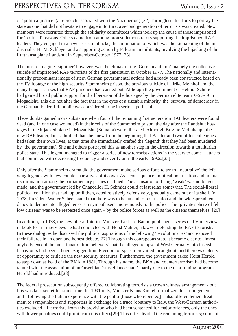of 'political justice' (a reproach associated with the Nazi period).[22] Through such efforts to portray the state as one that did not hesitate to engage in torture, a second generation of terrorists was created. New members were recruited through the solidarity committees which took up the cause of those imprisoned for 'political' reasons. Others came from among protest demonstrators supporting the imprisoned RAF leaders. They engaged in a new series of attacks, the culmination of which was the kidnapping of the industrialist H.-M. Schleyer and a supporting action by Palestinian militants, involving the hijacking of the Lufthansa plane Landshut in September-October 1977.[23]

The most damaging 'signifier' however, was the climax of the 'German autumn', namely the collective suicide of imprisoned RAF terrorists of the first generation in October 1977. The nationally and internationally predominant image of stern German governmental actions had already been constructed based on the TV footage of the high-security Stammheim prison, the previous suicide of Ulrike Meinhof and the many hunger strikes that RAF prisoners had carried out. Although the government of Helmut Schmidt had gained broad public support for the liberation of the hostages by the German elite team GSG- 9 in Mogadishu, this did not alter the fact that in the eyes of a sizeable minority, the survival of democracy in the German Federal Republic was considered to be in serious peril.[24]

These doubts gained more substance when four of the remaining first generation RAF leaders were found dead (and in one case wounded) in their cells of the Stammheim prison, the day after the Landshut hostages in the hijacked plane in Mogadishu (Somalia) were liberated. Although Brigitte Mohnhaupt, the new RAF leader, later admitted that she knew from the beginning that Baader and two of his colleagues had taken their own lives, at that time she immediately crafted the 'legend' that they had been murdered by 'the government'. She and others portrayed this as another step in the direction towards a totalitarian police state. This legend managed to trigger a series of new terrorist actions in the years to come – attacks that continued with decreasing frequency and severity until the early 1990s.[25]

Only after the Stammheim drama did the government make serious efforts to try to 'neutralize' the leftwing legends with new counter-narratives of its own. As a consequence, political polarisation and mutual recrimination among the parliamentary parties declined. The accusation of being 'weak' was no longer made, and the government led by Chancellor H. Schmidt could at last relax somewhat. The social-liberal political coalition that had, up until then, acted relatively defensively, gradually came out of its shell. In 1978, President Walter Scheel stated that there was to be an end to polarisation and the widespread tendency to denunciate alleged terrorism sympathisers anonymously to the police. The 'private sphere of fellow citizens' was to be respected once again – by the police forces as well as the citizens themselves. [26]

In addition, in 1978, the new liberal Interior Minister, Gerhard Baum, published a series of TV interviews in book form - interviews he had conducted with Horst Mahler, a lawyer defending the RAF terrorists. In these dialogues he discussed the political aspirations of the left-wing 'revolutionaries' and exposed their failures in an open and honest debate.[27] Through this courageous step, it became clear to almost anybody except the most fanatic 'true believers' that the alleged relapse of West Germany into fascist behaviours had been a huge exaggeration. Freedom of speech prevailed throughout, and there was plenty of opportunity to criticise the new security measures. Furthermore, the government asked Horst Herold to step down as head of the BKA in 1981. Through his name, the BKA and counterterrorism had become tainted with the association of an Orwellian 'surveillance state', partly due to the data-mining programs Herold had introduced.[28]

The federal prosecution subsequently offered collaborating terrorists a crown witness arrangement - but this was kept secret for some time. In 1991 only, Minister Klaus Kinkel formalized this arrangement and - following the Italian experience with the pentiti [those who repented] – also offered lenient treatment to sympathizers and supporters in exchange for a truce (contrary to Italy, the West-German authorities excluded all terrorists from this provision who had been sentenced for major offences, only the ones with lower penalties could profit from this offer).[29] This offer divided the remaining terrorists; some of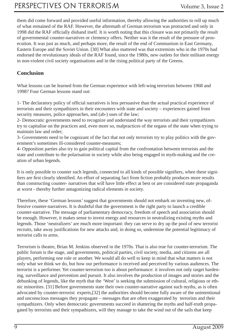them did come forward and provided useful information, thereby allowing the authorities to roll up much of what remained of the RAF. However, the aftermath of German terrorism was protracted and only in 1998 did the RAF officially disband itself. It is worth noting that this closure was not primarily the result of governmental counter-narratives or clemency offers. Neither was it the result of the pressure of prosecution. It was just as much, and perhaps more, the result of the end of Communism in East Germany, Eastern Europe and the Soviet Union. [30] What also mattered was that extremists who in the 1970s had endorsed the revolutionary ideals of the RAF found, since the 1980s, new outlets for their militant energy in non-violent civil society organisations and in the rising political party of the Greens.

#### **Conclusion**

What lessons can be learned from the German experience with left-wing terrorism between 1968 and 1998? Four German lessons stand out:

1- The declaratory policy of official narratives is less persuasive than the actual practical experience of terrorists and their sympathizers in their encounters with state and society – experiences gained from security measures, police approaches, and (ab-) uses of the law;

2- Democratic governments need to recognize and understand the way terrorists and their sympathizers try to capitalise on the practices and, even more so, malpractices of the organs of the state when trying to maintain law and order;

3- Governments need to be cognizant of the fact that not only terrorists try to play politics with the government's sometimes ill-considered counter-measures;

4- Opposition parties also try to gain political capital from the confrontation between terrorists and the state and contribute to the polarisation in society while also being engaged in myth-making and the creation of urban legends.

It is only possible to counter such legends, connected to all kinds of possible signifiers, when these signifiers are first clearly identified. An effort of separating fact from fiction probably produces more results than constructing counter- narratives that will have little effect at best or are considered state propaganda at worst - thereby further antagonizing radical elements in society.

Therefore, these 'German lessons' suggest that governments should not embark on inventing new, offensive counter-narratives. It is doubtful that the government is the right party to launch a credible counter-narrative. The message of parliamentary democracy, freedom of speech and association should be enough. However, it makes sense to invest energy and resources in neutralizing existing myths and legends. Those 'neutralizers' are much more important: they can serve to dry up the pool of new terrorist recruits, take away justifications for new attacks and, in doing so, undermine the potential legitimacy of terrorist calls to arms.

Terrorism is theatre, Brian M. Jenkins observed in the 1970s. That is also true for counter-terrorism. The public forum is the stage, and governments, political parties, civil society, media, and citizens are all players, performing one role or another. We would all do well to keep in mind that what matters is not only what we think we do, but how our performance is received and perceived by various audiences. The terrorist is a performer. Yet counter-terrorism too is about performance: it involves not only target hardening, surveillance and prevention and pursuit. It also involves the production of images and stories and the debunking of legends, like the myth that the 'West' is seeking the submission of cultural, religious or ethnic minorities. [31] Before governments state their own counter-narrative against such myths, as is often advocated by counter-terrorist experts,[32] the authorities should become fully aware of the unintentional and unconscious messages they propagate – messages that are often exaggerated by terrorists and their sympathizers. Only when democratic governments succeed in shattering the myths and half-truth propagated by terrorists and their sympathizers, will they manage to take the wind out of the sails that keep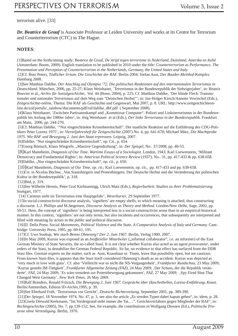#### terrorism alive. [33]

*Dr. Beatrice de Graaf* is Associate Professor at Leiden University and works at its Centre for Terrorism and Counterterrorism (CTC) in The Hague.

#### **NOTES**:

[1]Based on the forthcoming study: Beatrice de Graaf, *De strijd tegen terrorisme in Nederland, Duitsland, Amerika en Italië* (Amsterdam: Boom, 2009). English translation to be published in 2010 under the title: *Counterterrorism as Performance. The Presentation and Perception of Counterterrorism in the Netherlands, Germany, the United States and Italy*.

 [2]Cf. Butz Peters, *Tödlicher Irrtum. Die Geschichte der RAF.* Berlin 2004; Stefan Aust, *Der Baader-Meinhof-Komplex.* Hamburg 2008.

 [3]See Matthias Dahlke, *Der Anschlag auf Olympia '72. Die politischen Reaktionen auf den internationalen Terrorismus in Deutschland*. München, 2006, pp. 25-27; Klaus Weinhauer, ´Terrorismus in der Bundesrepublik der Siebzigerjahre', in: Beatrix Bouvier et al., *Archiv für Sozialgeschichte,* Vol. 44 (Bonn, 2004), p. 225; Cf. Matthias Dahlke, 'Der blinde Fleck. Transnationaler und nationaler Terrorismus auf dem Weg zum "Deutschen Herbst"'; in: Jan-Holger Kirsch/Annette Vowinckel (Eds.), *Zeitgeschichte-online*, Thema: Die RAF als Geschichte und Gegenwart, Mai 2007, p. 8. URL: http://www.zeitgeschichteonline.de/zol/portals/\_rainbow/documents/pdf/raf/dahlke\_dbf.pdf ( September 2008).

[4]Klaus Weinhauer, 'Zwischen Partisanenkampf und "Kommissar Computer". Polizei und Linksterrorismus in der Bundesrepublik bis Anfang der 1980er Jahre', in: Jörg Weinhauer et al (Eds.), *Der linke Terrorismus in der Bundesrepublik.* Frankfurt am Main, 2006, pp. 244-270.

 [5]Cf. Matthias Dahlke, '"Nur eingeschränkte Krisenbereitschaft". Die staatliche Reaktion auf die Entführung des CDU-Politikers Peter Lorenz 1975', in: *Vierteljahresheft für Zeitgeschichte* (2007) No. 4, pp. 641-678; Michael März, *Die Machtprobe 1975. Wie RAF und Bewegung 2. Juni den Staat erpressten.* Leipzig, 2007.

[6]Dahlke, "Nur eingeschränkte Krisenbereitschaft", op. Cit., p. 654.

[7]Georg Bönisch, Klaus Wiegrefe, "Massive Gegendrohung", in: *Der Spiegel*, No.. 37/2008, pp. 48-53.

 [8]Karl Mannheim, *Diagnosis of Our Time. Wartime Essays of a Sociologist.* London, 1943; Karl Loewenstein, 'Militant Democracy and Fundamental Rights'; in: *American Political Science Review* (1937), No.. 31, pp. 417-433 & pp. 638-658. [9]Dahlke, "Nur eingeschränkte Krisenbereitschaft", op. cit., p. 650.

 [10]Karl Mannheim, *Diagnosis of Our Time, op. cit.*; Karl Loewenstein, op. cit., pp. 417-433 and pp. 638-658. [11]Cit. in Nicolas Büchse, 'Von Staatsbürgern und Protestbürgern. Der Deutsche Herbst und die Veränderung der politischen

Kultur in der Bundesrepublik', p. 318.

[12]Ibid, p. 319.

 [13]See Wilhelm Hennis, Peter Graf Kielmansegg, Ulrich Matz (Eds.), *Regierbarkeit. Studien zu ihrer Problematisierung.*  Stuttgart, 1977.

[14]`Carstens sieht im Terrorismus eine Hauptgefahr', *Weserkurier*, 29 September 1977.

[15In social-constructivist discourse analysis, 'signifiers' are empty shells, to which meaning is attached, thus constructing a discourse. L.J. Phillips and M.Jørgensen, *Discourse Analysis as Theory and Method*. London/New Delhi, Sage, 2002, pp. 50-51. Here, the concept of 'signifiers' is being interpreted less in a social-constructivist sense than in an empirical-historical manner. In this context, 'signifiers' are not only terms, but also incidents and occurrences, that subsequently are interpreted and filled with meaning by actors in the public and political discourse.

 [16]D. Della Porta. Social *Movements, Political Violence and the State. A Comparative Analysis of Italy and Germany.* Cambridge: University Press, 1995, pp. 60-61, 195.

[17]Cf. Uwe Soukup, *Wie starb Benno Ohnesorg? Der 2. Juni 1967.* Berlin, Verlag 1900, 2007.

[18]In May 2009, Kurras was exposed as an *Inoffizieller Mitarbeiter* ("informal collaborator", i.e. an informer) of the East German Ministry of State Security, the so-called Stasi. It is not clear whether Kurras also acted as an *agent provocateur*, under orders of the Stasi, to destabilize the German Federal Republic. So far, no evidence to that effect has surfaced from the DDR Stasi files. German experts on the matter, such as Aust, Kraushaar or Timm, leave that possibility open, but are cautious. From known Stasi-files, it appears that the Stasi itself considered Ohnesorg's death as an accident. Kurras was depicted as 'very much in love with guns'. Cf. also 'Vielleicht war es nicht die NS-Vergangenheit', *Frankfurter Rundschau*, 23 May 2009; 'Kurras gesteht IM-Tätigkeit', Frankfurter Allgemeine Zeitung (FAZ), 24 May 2009; "Der Schuss, der die Republik veränderte', *FAZ*, 24 May 2009; 'Es wäre trotzdem zur Protestbewegung gekommen', *FAZ*, 27 May 2009; 'Spy Fired Shot That Changed West Germany', *New York Times*, 26 May 2009.

 [19]Ralf Reinders, Ronald Fritzsch, *Die Bewegung 2. Juni 1967. Gespräche über Haschrebellen, Lorenz-Entführung, Knast*. Berlin/Amsterdam, Edition ID-Archiv,1995, p. 39.

[20]See Eberhard Foth, 'Terrorismus vor Gericht', *Deutsche Richterzeitung*, September 2001, pp. 389-390.

[21]*Der Spiegel*, 18 November 1974, No. 47, p. 1; see also the article "Es werden Typen dabei kaputt gehen", in: idem, p. 28. [22]Gisela Diewald Kerkmann, "Im Vordergrund steht immer die Tat.…". Gerichtsverfahren gegen Mitglieder der RAF'; in: *Rechtsgeschichte* (2005), No. 7, pp.139-152; See, for example, the contributions in Wolfgang Dressen (Ed.), *Politische Prozesse ohne Verteidigung.* Berlin, 1976.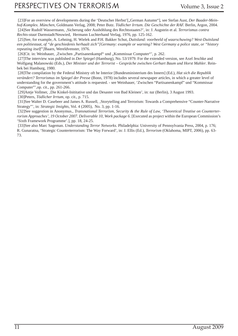[23]For an overview of developments during the 'Deutscher Herbst'["German Autumn"], see Stefan Aust, *Der Baader-Meinhof-Komplex. München,* Goldmann Verlag, 2008; Peter Butz. *Tödlicher Irrtum. Die Geschichte der RAF.* Berlin, Argon, 2004. [24]See Rudolf Wassermann, 'Sicherung oder Aushöhlung des Rechtsstaates?', in: J. Augstein et al. *Terrorismus contra Rechts-staat* Darmstadt/Neuwied, Hermann Luchterhand Verlag, 1976, pp. 125-162.

 [25]See, for example, A. Lehning, H. Wielek and P.H. Bakker Schut, *Duitsland: voorbeeld of waarschuwing? West-Duitsland een politiestaat, of "de geschiedenis herhaalt zich"[Germany: example or warning? West Germany a police state, or "history repeating itself"]*Baarn, Wereldvenster, 1976.

[26]Cit. in: Weinhauer, ,Zwischen "Partisanenkampf" und "Kommissar Computer"', p. 262.

 [27]The interview was published in *Der Spiegel* (Hamburg), No. 53/1979. For the extended version, see Axel Jeschke and Wolfgang Malanowski (Eds.), *Der Minister und der Terrorist – Gespräche zwischen Gerhart Baum und Horst Mahler*. Reinbek bei Hamburg, 1980.

 [28]The compilation by the Federal Ministry oft he Interior [Bundesministerium des Innern] (Ed.), *Hat sich die Republik verändert? Terrorismus im Spiegel der Presse* (Bonn, 1978) includes several newspaper articles, in which a greater level of understanding for the government's attitude is requested. - see Weinhauer, 'Zwischen "Partisanenkampf" und "Kommissar Computer"',op. cit., pp. 261-266.

 [29]Antje Vollmer, 'Die Kinkel-Inititative und das Desaster von Bad Kleinen', in: *taz* (Berlin), 3 August 1993. [30]Peters, *Tödlicher Irrtum*, op. cit., p. 715.

 [31]See Walter D. Casebeer and James A. Russell, 'Storytelling and Terrorism: Towards a Comprehensive "Counter-Narrative Strategy"', in: *Strategic Insights*, Vol. 4 (2005), No. 3, pp. 1-16.

 [32]See suggestion in Anonymus., *Transnational Terrorism, Security & the Rule of Law, 'Theoretical Treatise on Counterterrorism Approaches', 19 October 2007. Deliverable 10, Work package 6*. [Executed as project within the European Commission's 'Sixth Framework Programme'.], pp. 18, 24-25.

 [33]See also Marc Sageman. *Understanding Terror Networks.* Philadelphia: University of Pennsylvania Press, 2004, p. 176; R. Gunaratna, 'Strategic Counterterrorism: The Way Forward', in: J. Ellis (Ed.), *Terrorism* (Oklahoma, MIPT, 2006), pp. 63- 73.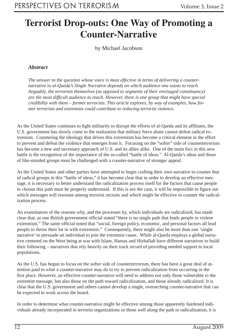### **Terrorist Drop-outs: One Way of Promoting a Counter-Narrative**

by Michael Jacobson

#### *Abstract*

*The answer to the question whose voice is most effective in terms of delivering a counternarrative to al-Qaeda's Single Narrative depends on which audience one wants to reach. Arguably, the terrorists themselves (as opposed to segments of their envisaged constituency) are the most diffi cult audience to reach. However, there is one group that might have special credibility with them – former terrorists. This article explores, by way of examples, how former terrorists and extremists could contribute to reducing terrorist violence.*

As the United States continues to fight militarily to disrupt the efforts of al-Qaeda and its affiliates, the U.S. government has slowly come to the realization that military force alone cannot defeat radical extremism. Countering the ideology that drives this extremism has become a critical element in the effort to prevent and defeat the violence that emerges from it. Focusing on the "softer" side of counterterrorism has become a new and necessary approach of U.S. and its allies alike. One of the main foci in this new battle is the recognition of the importance of the so-called "battle of ideas." Al-Qaeda's ideas and those of like-minded groups must be challenged with a counter-narrative of stronger appeal.

As the United States and other parties have attempted to begin crafting their own narrative to counter that of radical groups in this "battle of ideas," it has become clear that in order to develop an effective message, it is necessary to better understand the radicalization process itself for the factors that cause people to choose this path must be properly understood. If this is not the case, it will be impossible to figure out which messages will resonate among terrorist recruits and which might be effective to counter the radicalization process.

An examination of the reasons why, and the processes by, which individuals are radicalized, has made clear that, as one British government official stated "there is no single path that leads people to violent extremism." The same official noted that "social, foreign policy, economic, and personal factors all lead people to throw their lot in with extremists." Consequently, there might also be more than one 'single narrative' to persuade an individual to join the extremist cause. While al-Qaeda employs a global narrative centered on the West being at war with Islam, Hamas and Hizballah have different narratives to build their following – narratives that rely heavily on their track record of providing needed support to local populations.

As the U.S. has begun to focus on the softer side of counterterrorism, there has been a great deal of attention paid to what a counter-narrative may do to try to prevent radicalization from occurring in the first place. However, an effective counter-narrative will need to address not only those vulnerable to the extremist message, but also those on the path toward radicalization, and those already radicalized. It is clear that the U.S. government and others cannot develop a single, overarching counter-narrative that can be expected to work across the board.

In order to determine what counter-narrative might be effective among those apparently hardened individuals already incorporated in terrorist organizations or those well along the path to radicalization, it is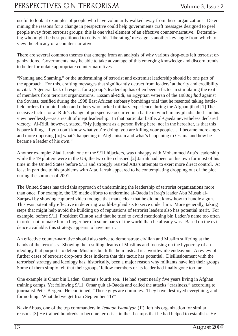useful to look at examples of people who have voluntarily walked away from these organizations. Determining the reasons for a change in perspective could help governments craft messages designed to peel people away from terrorist groups; this is one vital element of an effective counter-narrative. Determining who might be best positioned to deliver this 'liberating' message is another key angle from which to view the efficacy of a counter-narrative.

There are several common themes that emerge from an analysis of why various drop-outs left terrorist organizations. Governments may be able to take advantage of this emerging knowledge and discern trends to better formulate appropriate counter-narratives.

"Naming and Shaming," or the undermining of terrorist and extremist leadership should be one part of the approach. For this, crafting messages that significantly detract from leaders' authority and credibility is vital. A general lack of respect for a group's leadership has often been a factor in stimulating the exit of members from terrorist organizations. Essam al-Ridi, an Egyptian veteran of the 1980s *jihad* against the Soviets, testified during the 1998 East African embassy bombings trial that he resented taking battlefield orders from bin Laden and others who lacked military experience during the Afghan jihad.[1] The decisive factor for al-Ridi's change of perspective occurred in a battle in which many jihadis died—in his view needlessly—as a result of inept leadership. In that particular battle, al-Qaeda nevertheless declared victory. Al-Ridi, however, stated, "My judgment as a person living here, not in the hereafter, is that this is pure killing. If you don't know what you're doing, you are killing your people… I became more angry and more opposing [to] what's happening in Afghanistan and what's happening to Osama and how he became a leader of his own."

Another example: Ziad Jarrah, one of the 9/11 hijackers, was unhappy with Mohammed Atta's leadership while the 19 plotters were in the US; the two often clashed.[2] Jarrah had been on his own for most of his time in the United States before 9/11 and strongly resisted Atta's attempts to exert more direct control. At least in part due to his problems with Atta, Jarrah appeared to be contemplating dropping out of the plot during the summer of 2001.

The United States has tried this approach of undermining the leadership of terrorist organizations more than once. For example, the US made efforts to undermine al-Qaeda in Iraq's leader Abu Musab al-Zarqawi by showing captured video footage that made clear that he did not know how to handle a gun. This was potentially effective in deterring would-be jihadists to serve under him. More generally, taking steps that might help avoid the building up of reputations of terrorist leaders also has potential merit. For example, before 9/11, President Clinton said that he tried to avoid mentioning bin Laden's name too often in order not to make him a bigger hero in some parts of the world than he already was. Based on the evidence available, this strategy appears to have merit.

An effective counter-narrative should also strive to demonstrate civilian and Muslim suffering at the hands of the terrorists. Showing the resulting deaths of Muslims and focusing on the hypocrisy of an ideology that purports to defend Muslims but kills them instead is a worthwhile endeavour. A review of further cases of terrorist drop-outs does indicate that this tactic has potential. Disillusionment with the terrorists' strategy and ideology has, historically, been a major reason why militants have left their groups. Some of them simply felt that their groups' fellow members or its leader had finally gone too far.

One example is Omar bin Laden, Osama's fourth son. He had spent nearly five years living in Afghan training camps. Yet following 9/11, Omar quit al-Qaeda and called the attacks "craziness," according to journalist Peter Bergen. He continued, "Those guys are dummies. They have destroyed everything, and for nothing. What did we get from September 11?"

Nazir Abbas, one of the top commanders in *Jemaah Islamiyah* (JI), left his organization for similar reasons.[3] He trained hundreds to become terrorists in the JI camps that he had helped to establish. He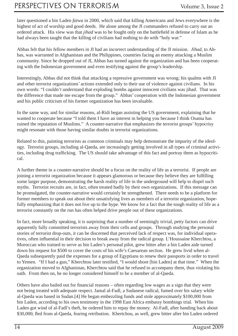### PERSPECTIVES ON TERRORISM Volume 3, Issue 2

later questioned a bin Laden *fatwa* in 2000, which said that killing Americans and Jews everywhere is the highest of act of worship and good deeds. He alone among the JI commanders refused to carry out an ordered attack. His view was that *jihad* was to be fought only on the battlefield in defense of Islam as he had always been taught that the killing of civilians had nothing to do with "holy war."

Abbas felt that his fellow members in JI had an incorrect understanding of the JI mission. *Jihad*, to Abbas, was warranted in Afghanistan and the Philippines, countries facing an enemy attacking a Muslim community. Since he dropped out of JI, Abbas has turned against the organization and has been cooperating with the Indonesian government and even testifying against the group's leadership.

Interestingly, Abbas did not think that attacking a repressive government was wrong; his qualms with JI and other terrorist organizations' actions extended only to their use of violence against civilians. In his own words: "I couldn't understand that exploding bombs against innocent civilians was jihad. That was the difference that made me escape from the group." Abbas' cooperation with the Indonesian government and his public criticism of his former organization has been invaluable.

In the same way, and for similar reasons, al-Ridi began assisting the US government, explaining that he wanted to cooperate because "I told them I have an interest in helping you because I think Osama has ruined the reputation of Muslims." A counter-narrative that emphasizes the terrorist groups' hypocrisy might resonate with those having similar doubts in terrorist organizations.

Related to this, painting terrorists as common criminals may help demonstrate the impurity of the ideology. Terrorist groups, including al-Qaeda, are increasingly getting involved in all types of criminal activities, including drug trafficking. The US should take advantage of this fact and portray them as hypocritical.

A further theme in a counter-narrative should be a focus on the reality of life as a terrorist. If people are joining a terrorist organization because it appears glamorous or because they believe they are fulfilling some larger purpose, demonstrating the harsh reality of life in the underground will help to dispel such myths. Terrorist recruits are, in fact, often treated badly by their own organizations. If this message can be promulgated, the counter-narrative would certainly be strengthened. There needs to be a platform for former members to speak out about their unsatisfying lives as members of a terrorist organization, hopefully emphasizing that it does not live up to the hype. We know for a fact that the tough reality of life as a terrorist constantly on the run has often helped drive people out of these organizations.

In fact, more broadly speaking, it is surprising that a number of seemingly trivial, petty factors can drive apparently fully committed terrorists away from their cells and groups. Through studying the personal stories of terrorist drop-outs, it can be discerned that perceived lack of respect was, for individual operatives, often influential in their decision to break away from the radical group. L'Houssaine Kherchtou, a Moroccan who trained to serve as bin Laden's personal pilot, grew bitter after a bin Laden aide turned down his request for \$500 to cover the costs of his wife's Caesarean section. He grew livid when al-Qaeda subsequently paid the expenses for a group of Egyptians to renew their passports in order to travel to Yemen. "If I had a gun," Kherchtou later testified, "I would shoot [bin Laden] at that time." When the organization moved to Afghanistan, Kherchtou said that he refused to accompany them, thus violating his oath. From then on, he no longer considered himself to be a member of al-Qaeda.

Others have also bailed out for financial reasons – often regarding low wages as a sign that they were not being treated with adequate respect. Jamal al-Fadl, a Sudanese radical, fumed over his salary while al-Qaeda was based in Sudan.[4] He began embezzling funds and stole approximately \$100,000 from bin Laden, according to his own testimony in the 1998 East Africa embassy bombings trial. When bin Laden got wind of al-Fadl's theft, he ordered him to repay the money. Al-Fadl, after handing back about \$30,000, fled from al-Qaeda, fearing retribution. Khertchou, as well, grew bitter after bin Laden ordered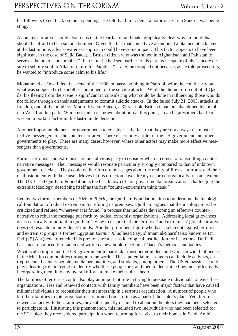his followers to cut back on their spending. He felt that bin Laden—a notoriously rich Saudi—was being stingy.

A counter-narrative should also focus on the fear factor and make graphically clear why an individual should be afraid to be a suicide bomber. Given the fact that some have abandoned a planned attack even at the last minute, a fear-awareness approach could have some impact. This factor appears to have been significant in the case of Sajid Badat, a British citizen who was trained in Afghanistan and Pakistan to serve as the other "shoebomber." In a letter he had sent earlier to his parents he spoke of his "sincere desire to sell my soul to Allah in return for Paradise." Later, he dropped out because, as he told prosecutors, he wanted to "introduce some calm to his life."

Mohammed al-Owali fled the scene of the 1998 embassy bombing in Nairobi before he could carry out what was supposed to be another component of the suicide attacks. While he did not drop out of al-Qaeda, his fleeing from the scene is significant in considering what could be done in influencing those who do not follow through on their assignments to commit suicide attacks. In the failed July 21, 2005, attacks in London, one of the bombers, Manfo Kwaku Asiedu, a 32-year old British Ghanian, abandoned his bomb in a West London park. While not much is known about him at this point, it can be presumed that fear was an important factor in this last-minute decision.

Another important element for governments to consider is the fact that they are not always the most effective messengers for the counter-narrative. There is certainly a role for the US government and other governments to play. There are many cases, however, where other actors may make more effective messengers than governments.

Former terrorists and extremists are one obvious party to consider when it comes to transmitting counternarrative messages. Their messages would resonate particularly strongly compared to that of unknown government officials. They could deliver forceful messages about the reality of life as a terrorist and their disillusionment with the cause. Moves in this direction have already occurred organically to some extent. The UK-based Quilliam Foundation is the best known of non-governmental organizations challenging the extremist ideology, describing itself as the first "counter-extremism think tank."

Led by two former members of *Hizb ut-Tahrir*, the Quilliam Foundation aims to undermine the ideological foundation of radical extremism by refuting its premises. Quilliam argues that the ideology must be criticized and refuted "wherever it is found," a process that includes developing an effective counternarrative to rebut the message put forth by radical extremist organizations. Addressing local grievances is also critically important in Quilliam's view to ensure that the terrorists' and extremists' global narrative does not resonate in individuals' minds. Another prominent figure who has spoken out against terrorist and extremist groups is former Egyptian *Islamic Jihad* head Sayyid Imam al-Sharif (also known as Dr. Fadl).[5] Al-Qaeda often cited his previous treatises as ideological justification for its actions. Dr. Fadl has since renounced bin Laden and written a new book rejecting al-Qaeda's methods and tactics.

What is also important, the US. government in particular must better understand who can wield influence in the Muslim communities throughout the world. These potential messengers can include activists, entrepreneurs, business people, media personalities, and students, among others. The US embassies should play a leading role in trying to identify who these people are, and then to determine how most effectively incorporating them into any overall efforts to make their voices heard.

The families of terrorists could also play an important role in trying to persuade individuals to leave these organizations. Ties and renewed contacts with family members have been major factors that have caused militant individuals to reconsider their membership in a terrorist organization. A number of people who left their families to join organizations returned home, often as a part of their plot's plan. Yet after renewed contact with their families, they subsequently decided to abandon the plots they had been selected to participate in. Illustrating this phenomenon, this included two individuals who had been selected for the 9/11 plot: they reconsidered participation when returning for a visit to their homes in Saudi Arabia.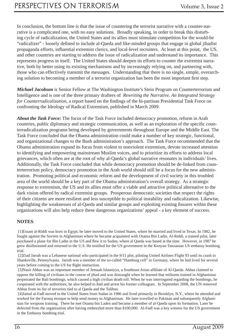In conclusion, the bottom line is that the issue of countering the terrorist narrative with a counter-narrative is a complicated one, with no easy solutions. Broadly speaking, in order to break this disturbing cycle of radicalization, the United States and its allies must stimulate competition for the would-be "radicalizer" - loosely defined to include al-Qaeda and like-minded groups that engage in global jihadist propaganda efforts, influential extremist clerics, and local-level recruiters. At least at this point, the US. and other countries are starting to address the issue of radicalization and understand its importance. This represents progress in itself. The United States should deepen its efforts to counter the extremist narrative, both by better using its existing mechanisms and by increasingly relying on, and partnering with, those who can effectively transmit the messages. Understanding that there is no single, simple, overarching solution to becoming a member of a terrorist organization has been the most important first step.

*Michael Jacobson* is Senior Fellow at The Washington Institute's Stein Program on Counterterrorism and Intelligence and is one of the three primary drafters of *Rewriting the Narrative. An Integrated Strategy for Counterradicalization*, a report based on the findings of the bi-partisan Presidential Task Force on confronting the Ideology of Radical Extremism, published in March 2009.

*About the Task Force:* The focus of the Task Force included democracy promotion, reform in Arab countries, public diplomacy and strategic communication, as well as an exploration of the specific counterradicalization programs being developed by governments throughout Europe and the Middle East. The Task Force concluded that the Obama administration could make a number of key strategic, functional, and organizational changes to the Bush administration's approach. The Task Force recommended that the Obama administration expand its focus from violent to nonviolent extremism, devote increased attention to identifying and empowering mainstream Muslim voices, and to prioritize its efforts to address local grievances, which often are at the root of why al-Qaeda's global narrative resonates in individuals' lives. Additionally, the Task Force concluded that while democracy promotion should be de-linked from counterterrorism policy, democracy promotion in the Arab world should still be a focus for the new administration. Promoting political and economic reform and the development of civil society in this troubled area of the world should be a key part of the Obama administration's overall strategy. As a strategic response to extremism, the US and its allies must offer a viable and attractive political alternative to the dark vision offered by radical extremist groups. Prosperous democratic societies that respect the rights of their citizens are more resilient and less susceptible to political instability and radicalization. Likewise, highlighting the weaknesses of al-Qaeda and similar groups and exploiting existing fissures within these organizations will also help reduce these dangerous organizations' appeal - a key element of success.

#### **NOTES**:

 [1]Essam al-Riddi was born in Egypt; he later moved to the United States, where he married and lived in Texas. In 1982, he fought against the Soviets in Afghanistan where he became acquainted with Osama Bin Ladin. Al-Riddi, a trained pilot, later purchased a plane for Bin Ladin in the US and flew it to Sudan, where al Qaeda was based at the time. However, in 1987 he grew disillusioned and returned to the U.S. He testified for the US government in the Kenyan-Tanzanian US embassy bombing trial.

 [2]Ziad Jarrah was a Lebanese national who participated in the 9/11 plot, piloting United Airlines Flight 93 until its crash in Shanksville, Pennsylvania. Jarrah was a member of the so-called "Hamburg cell" in Germany, where he had lived for several years before coming to the US for flight instruction.

[3]Nasir Abbas was an important member of Jemaah Islamiyya, a Southeast Asian affiliate of Al-Qaeda. Abbas claimed to oppose the killing of civilians in the course of jihad and was distraught when he learned that militants trained in Afghanistan perpetrated the Bali bombings, which caused a high civilian death toll. When he was interrogated regarding the bombings, he cooperated with the authorities; he also helped to find and arrest his former colleagues. In September 2008, the UN removed Abbas from its list of terrorists tied to al Qaeda and the Taliban.

 [4]Jamal al-Fadl moved to the United States from Sudan in 1986 and lived primarily in Brooklyn, N.Y., where he attended and worked for the Farouq mosque to help send money to Afghanistan. He later travelled to Pakistan and subsequently Afghanistan for weapons training. There he met Osama bin Laden and became a member of al-Qaeda upon its formation. Later he defected from the organization after having embezzled more than \$100,000. Al-Fadl was a key witness for the US government in the Embassy bombing trial.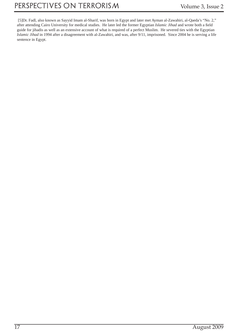[5]Dr. Fadl, also known as Sayyid Imam al-Sharif, was born in Egypt and later met Ayman al-Zawahiri, al-Qaeda's "No. 2," after attending Cairo University for medical studies. He later led the former Egyptian *Islamic Jihad* and wrote both a field guide for jihadis as well as an extensive account of what is required of a perfect Muslim. He severed ties with the Egyptian *Islamic Jihad* in 1994 after a disagreement with al-Zawahiri, and was, after 9/11, imprisoned. Since 2004 he is serving a life sentence in Egypt.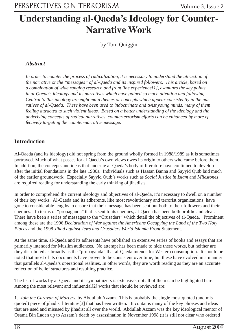### **Understanding al-Qaeda's Ideology for Counter-Narrative Work**

by Tom Quiggin

#### *Abstract*

*In order to counter the process of radicalization, it is necessary to understand the attraction of the narrative or the "messages" of al-Qaeda and its inspired followers. This article, based on a combination of wide ranging research and front line experience[1], examines the key points in al-Qaeda's ideology and its narratives which have gained so much attention and following. Central to this ideology are eight main themes or concepts which appear consistently in the narratives of al-Qaeda. These have been used to indoctrinate and twist young minds, many of them feeling attracted to such violent ideas. Based on a better understanding of the ideology and the underlying concepts of radical narratives, counterterrorism efforts can be enhanced by more effectively targeting the counter-narrative message.*

#### **Introduction**

Al-Qaeda (and its ideology) did not spring from the ground wholly formed in 1988/1989 as it is sometimes portrayed. Much of what passes for al-Qaeda's own views owes its origin to others who came before them. In addition, the concepts and ideas that underlie al-Qaeda's body of literature have continued to develop after the initial foundations in the late 1980s. Individuals such as Hassan Banna and Sayyid Qutb laid much of the earlier groundwork. Especially Sayyid Qutb's works such as *Social Justice in Islam* and *Milestones* are required reading for understanding the early thinking of jihadists.

In order to comprehend the current ideology and objectives of al-Qaeda, it's necessary to dwell on a number of their key works. Al-Qaeda and its adherents, like most revolutionary and terrorist organizations, have gone to considerable lengths to ensure that their message has been sent out both to their followers and their enemies. In terms of "propaganda" that is sent to its enemies, al-Qaeda has been both prolific and clear. There have been a series of messages to the "Crusaders" which detail the objectives of al-Qaeda. Prominent among these are the 1996 *Declaration of War against the Americans Occupying the Land of the Two Holy Places* and the 1998 *Jihad against Jews and Crusaders World Islamic Front* Statement.

At the same time, al-Qaeda and its adherents have published an extensive series of books and essays that are primarily intended for Muslim audiences. No attempt has been made to hide these works, but neither are they distributed as broadly as the "propaganda" that al-Qaeda intends for Western consumption. It should be noted that most of its documents have proven to be consistent over time; but these have evolved in a manner that parallels al-Qaeda's operational realities. In other words, they are worth reading as they are an accurate reflection of belief structures and resulting practice.

The list of works by al-Qaeda and its sympathizers is extensive; not all of them can be highlighted here. Among the most relevant and influential[2] works that should be reviewed are:

1. *Join the Caravan of Martyrs,* by Abdullah Azzam. This is probably the single most quoted (and misquoted) piece of jihadist literature<sup>[3]</sup> that has been written. It contains many of the key phrases and ideas that are used and misused by jihadist all over the world. Abdullah Azzam was the key ideological mentor of Osama Bin Laden up to Azzam's death by assassination in November 1998 (it is still not clear who ordered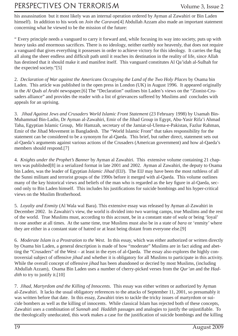### PERSPECTIVES ON TERRORISM Volume 3, Issue 2

his assassination but it most likely was an internal operation ordered by Ayman al Zawahiri or Bin Laden himself). In addition to his work on *Join the Caravan*[4] Abdullah Azzam also made an important statement concerning what he viewed to be the mission of the future:

" Every principle needs a vanguard to carry it forward and, while focusing its way into society, puts up with heavy tasks and enormous sacrifices. There is no ideology, neither earthly nor heavenly, that does not require a vanguard that gives everything it possesses in order to achieve victory for this ideology. It carries the flag all along the sheer endless and difficult path until it reaches its destination in the reality of life, since Allah has destined that it should make it and manifest itself. This vanguard constitutes Al Qa'idah al-Sulhah for the expected society."[5]

2. *Declaration of War against the Americans Occupying the Land of the Two Holy Places* by Osama bin Laden. This article was published in the open press in London (UK) in August 1996. It appeared originally in the *Al Quds al Arabi* newspaper.[6] The "Declaration" outlines bin Laden's views on the "Zionist-Crusaders alliance" and provides the reader with a list of grievances suffered by Muslims and concludes with appeals for an uprising.

3. *Jihad Against Jews and Crusaders World Islamic Front Statement* (23 February 1998) by Usamah Bin-Muhammad Bin-Ladin, Dr Ayman al-Zawahiri, Emir of the Jihad Group in Egypt, Abu-Yasir Rifa'i Ahmad Taha, Egyptian Islamic Group, Mir Hamzah, secretary of the Jamiat-ul-Ulema-e-Pakistan, Fazlur Rahman, Emir of the Jihad Movement in Bangladesh. The "World Islamic Front" that takes responsibility for the statement can be considered to be a synonym for al-Qaeda. This brief, but rather direct, statement sets out al-Qaeda's arguments against various actions of the Crusaders (American government) and how al-Qaeda's members should respond.[7]

4. *Knights under the Prophet's Banner* by Ayman al Zawahiri. This extensive volume containing 21 chapters was published[8] in a serialized format in late 2001 and 2002. Ayman al Zawahiri, the deputy to Osama bin Laden, was the leader of Egyptian *Islamic Jihad* (EIJ). The EIJ may have been the most ruthless of all the Sunni militant and terrorist groups of the 1990s before it merged with al-Qaeda. This volume outlines many of the key historical views and beliefs of the man who is regarded as the key figure in al-Qaeda, second only to Bin Laden himself. This includes his justifications for suicide bombings and his hyper-critical views on the Muslim Brotherhood.

5. *Loyalty and Enmity* (Al Wala wal Bara). This extensive essay was released by Ayman al-Zawahiri in December 2002. In Zawahiri's view, the world is divided into two warring camps, true Muslims and the rest of the world. True Muslims must, according to this account, be in a constant state of *wala* or being 'loyal' to one another at all times. At the same time, true Muslims must also be in a state of *bara* or 'enmity' where they are either in a constant state of hatred or at least being distant from everyone else.[9]

6. *Moderate Islam is a Prostration to the West*. In this essay, which was either authorized or written directly by Osama bin Laden, a general description is made of how "moderate" Muslims are in fact aiding and abetting the "Crusaders" of the West – at least in the eyes of al-Qaeda. The essay also explores the highly controversial subject of offensive *jihad* and whether it is obligatory for all Muslims to participate in this activity. While the overall concept of offensive *jihad* has been abandoned or decried by most Muslims, (including Abdullah Azzam), Osama Bin Laden uses a number of cherry-picked verses from the *Qur'an* and the *Haddith* to try to justify it.[10]

7. *Jihad, Martyrdom and the Killing of Innocents*. This essay was either written or authorized by Ayman al-Zawahiri. It lacks the usual obligatory references to the attacks of September 11, 2001, so presumably it was written before that date. In this essay, Zawahiri tries to tackle the tricky issues of martyrdom or suicide bombers as well as the killing of innocents. While classical Islam has rejected both of these concepts, Zawahiri uses a combination of *Sunnah* and *Haddith* passages and analogies to justify the unjustifiable. To the theologically uneducated, this work makes a case for the justification of suicide bombings and the killing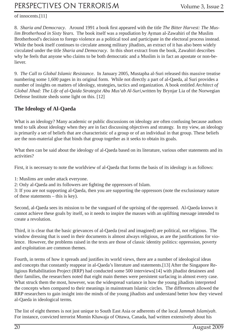#### of innocents.[11]

8. Sharia and Democracy. Around 1991 a book first appeared with the title The Bitter Harvest: The Mus*lim Brotherhood in Sixty Years.* The book itself was a repudiation by Ayman al-Zawahiri of the Muslim Brotherhood's decision to forego violence as a political tool and participate in the electoral process instead. While the book itself continues to circulate among military jihadists, an extract of it has also been widely circulated under the title *Sharia and Democracy*. In this short extract from the book, Zawahiri describes why he feels that anyone who claims to be both democratic and a Muslim is in fact an apostate or non-believer.

9. *The Call to Global Islamic Resistance*. In January 2005, Mustapha al-Suri released this massive treatise numbering some 1,600 pages in its original form. While not directly a part of al-Qaeda, al Suri provides a number of insights on matters of ideology, strategies, tactics and organization. A book entitled *Architect of Global Jihad: The Life of al-Qaida Strategist Abu Mus'ab Al-Suri*,written by Brynjar Lia of the Norwegian Defense Institute sheds some light on this. [12]

#### **The Ideology of Al-Qaeda**

What is an ideology? Many academic or public discussions on ideology are often confusing because authors tend to talk about ideology when they are in fact discussing objectives and strategy. In my view, an ideology is primarily a set of beliefs that are characteristic of a group or of an individual in that group. These beliefs are the non-material glue that binds that group together as it seeks to obtain its goals.

What then can be said about the ideology of al-Qaeda based on its literature, various other statements and its activities?

First, it is necessary to note the worldview of al-Qaeda that forms the basis of its ideology is as follows:

1: Muslims are under attack everyone.

2: Only al-Qaeda and its followers are fighting the oppressors of Islam.

3: If you are not supporting al-Qaeda, then you are supporting the oppressors (note the exclusionary nature of these statements – this is key).

Second, al-Qaeda sees its mission to be the vanguard of the uprising of the oppressed. Al-Qaeda knows it cannot achieve these goals by itself, so it needs to inspire the masses with an uplifting message intended to create a revolution.

Third, it is clear that the basic grievances of al-Qaeda (real and imagined) are political, not religious. The window dressing that is used in their documents is almost always religious, as are the justifications for violence. However, the problems raised in the texts are those of classic identity politics: oppression, poverty and exploitation are common themes.

Fourth, in terms of how it spreads and justifies its world views, there are a number of ideological ideas and concepts that constantly reappear in al-Qaeda's literature and statements.[13] After the Singapore Religious Rehabilitation Project (RRP) had conducted some 500 interviews[14] with jihadist detainees and their families, the researchers noted that eight main themes were persistent surfacing in almost every case. What struck them the most, however, was the widespread variance in how the young jihadists interpreted the concepts when compared to their meanings in mainstream Islamic circles. The differences allowed the RRP researchers to gain insight into the minds of the young jihadists and understand better how they viewed al-Qaeda in ideological terms.

The list of eight themes is not just unique to South East Asia or adherents of the local *Jammah Islamiyah*. For instance, convicted terrorist Momin Khawaja of Ottawa, Canada, had written extensively about his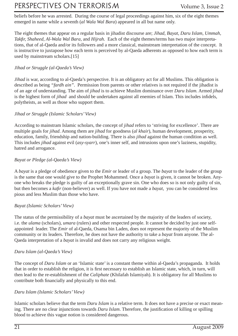### PERSPECTIVES ON TERRORISM Volume 3, Issue 2

beliefs before he was arrested. During the course of legal proceedings against him, six of the eight themes emerged in name while a seventh (*al Wala Wal Bara*) appeared in all but name only.

The eight themes that appear on a regular basis in jihadist discourse are; *Jihad, Bayat, Daru Islam, Ummah, Takfir, Shaheed, Al-Wala Wal Bara, and Hijrah.* Each of the eight themes/terms has two major interpretations, that of al-Qaeda and/or its followers and a more classical, mainstream interpretation of the concept. It is instructive to juxtapose how each term is perceived by al-Qaeda adherents as opposed to how each term is used by mainstream scholars.[15]

#### *Jihad or Struggle (al-Qaeda's View)*

*Jihad* is war, according to al-Qaeda's perspective. It is an obligatory act for all Muslims. This obligation is described as being *"fardh ain"*. Permission from parents or other relatives is not required if the jihadist is of an age of understanding. The aim of *jihad* is to achieve Muslim dominance over *Daru Islam.* Armed *jihad* is the highest form of *jihad* and should be undertaken against all enemies of Islam. This includes infidels, polytheists, as well as those who support them.

#### *Jihad or Struggle (Islamic Scholars' View)*

According to mainstram Islamic scholars, the concept of *jihad* refers to 'striving for excellence'. There are multiple goals for *jihad*. Among them are *jihad* for goodness (*al khair*), human development, prosperity, education, family, friendship and nation-building. There is also *jihad* against the human condition as well. This includes *jihad* against evil (*asy-syarr*), one's inner self, and intrusions upon one's laziness, stupidity, hatred and arrogance.

#### *Bayat or Pledge (al-Qaeda's View)*

A *bayat* is a pledge of obedience given to the *Emir* or leader of a group. The *bayat* to the leader of the group is the same that one would give to the Prophet Mohammed. Once a *bayat* is given, it cannot be broken. Anyone who breaks the pledge is guilty of an exceptionally grave sin. One who does so is not only guilty of sin, but then becomes a *kafi r* (non-believer) as well. If you have not made a *bayat*, you can be considered less pious and less Muslim than those who have.

#### *Bayat (Islamic Scholars' View)*

The status of the permissibility of a *bayat* must be ascertained by the majority of the leaders of society, i.e. the *ulama* (scholars), *umara* (rulers) and other respected people. It cannot be decided by just one selfappointed leader. The *Emir* of al-Qaeda, Osama bin Laden, does not represent the majority of the Muslim community or its leaders. Therefore, he does not have the authority to take a *bayat* from anyone. The al-Qaeda interpretation of a *bayat* is invalid and does not carry any religious weight.

#### *Daru Islam (al-Qaeda's View)*

The concept of *Daru Islam* or an 'Islamic state' is a constant theme within al-Qaeda's propaganda. It holds that in order to establish the religion, it is first necessary to establish an Islamic state, which, in turn, will then lead to the re-establishment of the *Caliphate* (Khilafah Islamiyah). It is obligatory for all Muslims to contribute both financially and physically to this end.

#### *Daru Islam (Islamic Scholars' View)*

Islamic scholars believe that the term *Daru Islam* is a relative term. It does not have a precise or exact meaning. There are no clear injunctions towards *Daru Islam*. Therefore, the justification of killing or spilling blood to achieve this vague notion is considered dangerous.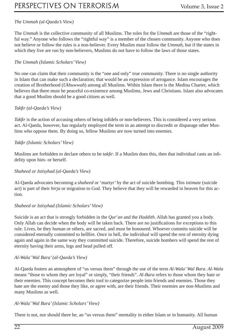#### *The Ummah (al-Qaeda's View)*

The *Ummah* is the collective community of all Muslims. The rules for the *Ummah* are those of the "rightful way." Anyone who follows the "rightful way" is a member of the chosen community. Anyone who does not believe or follow the rules is a non-believer. Every Muslim must follow the *Ummah*, but if the states in which they live are run by non-believers, Muslims do not have to follow the laws of those states.

#### *The Ummah (Islamic Scholars' View)*

No one can claim that their community is the "one and only" true community. There is no single authority in Islam that can make such a declaration; that would be an expression of arrogance. Islam encourages the creation of Brotherhood (*Ukhuwwah*) among all Muslims. Within Islam there is the Medina Charter, which believes that there must be peaceful co-existence among Muslims, Jews and Christians. Islam also advocates that a good Muslim should be a good citizen as well.

#### *Takfi r (al-Qaeda's View)*

*Takfir* is the action of accusing others of being infidels or non-believers. This is considered a very serious act. Al-Qaeda, however, has regularly employed the term in an attempt to discredit or disparage other Muslims who oppose them. By doing so, fellow Muslims are now turned into enemies.

#### *Takfi r (Islamic Scholars' View)*

Muslims are forbidden to declare others to be *takfir*. If a Muslim does this, then that individual casts an infidelity upon him- or herself.

#### *Shaheed or Istisyhad (al-Qaeda's View)*

Al-Qaeda advocates becoming a *shaheed* or 'martyr' by the act of suicide bombing. This *istimate* (suicide act) is part of their *hirja* or migration to God. They believe that they will be rewarded in heaven for this action.

#### *Shaheed or Istisyhad (Islamic Scholars' View)*

Suicide is an act that is strongly forbidden in the *Qur*'*an* and the *Haddith*. Allah has granted you a body. Only Allah can decide when the body will be taken back. There are no justifications for exceptions to this rule. Lives, be they human or others, are sacred, and must be honoured. Whoever commits suicide will be considered eternally committed to hellfire. Once in hell, the individual will spend the rest of eternity dying again and again in the same way they committed suicide. Therefore, suicide bombers will spend the rest of eternity having their arms, legs and head pulled off.

#### *Al-Wala' Wal Bara' (al-Qaeda's View)*

Al-Qaeda fosters an atmosphere of "us versus them" through the use of the term *Al-Wala' Wal Bara*. *Al-Wala*  means "those to whom they are loyal" or simply, "their friends". *Al-Bara* refers to those whom they hate or their enemies. This concept becomes their tool to categorize people into friends and enemies. Those they hate are the enemy and those they like, or agree with, are their friends. Their enemies are non-Muslims and many Muslims as well.

#### *Al-Wala' Wal Bara' (Islamic Scholars' View)*

There is not, nor should there be, an "us versus them" mentality in either Islam or in humanity. All human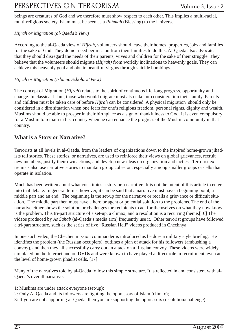### PERSPECTIVES ON TERRORISM Volume 3, Issue 2

beings are creatures of God and we therefore must show respect to each other. This implies a multi-racial, multi-religious society. Islam must be seen as a *Rahmah* (Blessing) to the Universe.

#### *Hijrah or Migration (al-Qaeda's View)*

According to the al-Qaeda view of *Hijrah*, volunteers should leave their homes, properties, jobs and families for the sake of God. They do not need permission from their families to do this. Al-Qaeda also advocates that they should disregard the needs of their parents, wives and children for the sake of their struggle. They believe that the volunteers should migrate (*Hijrah)* from worldly inclinations to heavenly goals. They can achieve this heavenly goal and obtain beautiful virgins through suicide bombings.

#### *Hijrah or Migration (Islamic Scholars' View)*

The concept of Migration (*Hijrah*) relates to the spirit of continuous life-long progress, opportunity and change. In classical Islam, those who would migrate must also take into consideration their family. Parents and children must be taken care of before *Hijrah* can be considered. A physical migration should only be considered in a dire situation when one fears for one's religious freedom, personal rights, dignity and wealth. Muslims should be able to prosper in their birthplace as a sign of thankfulness to God. It is even compulsory for a Muslim to remain in his country when he can enhance the progress of the Muslim community in that country.

#### **What is a Story or Narrative?**

Terrorists at all levels in al-Qaeda, from the leaders of organizations down to the inspired home-grown jihadists tell stories. These stories, or narratives, are used to reinforce their views on global grievances, recruit new members, justify their own actions, and develop new ideas on organization and tactics. Terrorist extremists also use narrative stories to maintain group cohesion, especially among smaller groups or cells that operate in isolation.

Much has been written about what constitutes a story or a narrative. It is not the intent of this article to enter into that debate. In general terms, however, it can be said that a narrative must have a beginning point, a middle part and an end. The beginning is the set-up for the narrative or recalls a grievance or difficult situation. The middle part then must have a hero or agent or potential solution to the problems. The end of the narrative either shows the solution or challenges the recipients to act for themselves on what they now know is the problem. This tri-part structure of a set-up, a climax, and a resolution is a recurring theme.[16] The videos produced by *As Sahab* (al-Qaeda's media arm) frequently use it. Other terrorist groups have followed a tri-part structure, such as the series of five "Russian Hell" videos produced in Chechnya.

In one such video, the Chechen mission commander is introduced as he does a military style briefing. He identifies the problem (the Russian occupiers), outlines a plan of attack for his followers (ambushing a convoy), and then they all successfully carry out an attack on a Russian convoy. These videos were widely circulated on the Internet and on DVDs and were known to have played a direct role in recruitment, even at the level of home-grown jihadist cells. [17]

Many of the narratives told by al-Qaeda follow this simple structure. It is reflected in and consistent with al-Qaeda's overall narrative:

- 1: Muslims are under attack everyone (set-up);
- 2: Only Al Qaeda and its followers are fighting the oppressors of Islam (climax);
- 3: If you are not supporting al-Qaeda, then you are supporting the oppressors (resolution/challenge).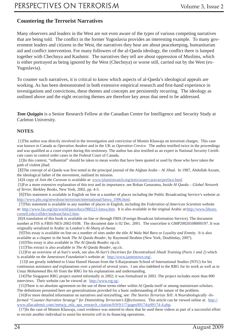#### **Countering the Terrorist Narratives**

Many observers and leaders in the West are not even aware of the types of various competing narratives that are being told. The conflict in the former Yugoslavia provides an interesting example. To many government leaders and citizens in the West, the narratives they hear are about peacekeeping, humanitarian aid and conflict intervention. For many followers of the al-Qaeda ideology, the conflict there is lumped together with Chechnya and Kashmir. The narratives they tell are about oppression of Muslims, which is either portrayed as being ignored by the West (Chechnya) or worse still, carried out by the West (ex-Yugoslavia).

To counter such narratives, it is critical to know which aspects of al-Qaeda's ideological appeals are working. As has been demonstrated in both extensive empirical research and first-hand experience in investigations and convictions, these themes and concepts are persistently recurring. The ideology as outlined above and the eight recurring themes are therefore key areas that need to be addressed.

*Tom Quiggin* is a Senior Research Fellow at the Canadian Centre for Intelligence and Security Study at Carleton University.

#### **NOTES**:

 [1]The author was directly involved in the investigation and conviction of Momin Khawaja on terrorism charges. This case was known in Canada as *Operation Awaken* and in the UK as *Operation Crevice*. The author testified twice in the proceedings and was qualified as a court expert during this testimony. The author has also testified as an expert in National Security Certificate cases in control order cases in the Federal Court of Canada.

[2]In this context, "influential" should be taken to mean works that have been quoted or used by those who have taken the path of violent jihad.

[3]The concept of al-Qaeda was first noted in the principal journal of the Afghan Arabs – *Al Jihad*. In 1987, Abdullah Azzam, the ideological father of the movement, outlined its mission.

[4]A copy of *Join the Caravan* is available at: www.islamistwatch.org/tests/azam/caravan/preface.html

 [5]For a more extensive explanation of this text and its importance, see Rohan Gunaratna, *Inside Al Qaeda – Global Network of Terror*, Berkley Books, New York, 2002, pp. 4-5.

 [6]This statement is available in English on line at a number of places including the Public Broadcasting Service's website at: http://www.pbs.org/newshour/terrorism/international/fatwa\_1996.html.

 [7]This statement is available in any number of places in English, including the *Federation of American Scientists* website at: http://www.fas.org/irp/world/para/docs/980223-fatwa.htm. It is also available in the original Arabic at:http://www.library. cornell.edu/colldev/mideast/fatw2.htm.

 [8]A translation of this book is available on line or through FBIS (Foreign Broadcast Information Service). The document number at FIS is FBIS-NES-2002-0108. The document date is 02 Dec. 2001. The sourceline is GMP20020108000197. It was originally serialized in Arabic in London's *Al-Sharq al-Awsat*.

 [9]This essay is available on line on a number of sites under the title *Al Wala Wal Bara* or *Loyality and Enmity.* It is also available as a chapter in the book *The Al Qaeda Reader*, by Raymond Ibrahim (New York, Doubleday, 2007).

[10]This essay is also available in *The Al Qaeda Reader,* op.cit.

[11]This extract is also available in *The Al Qaeda Reader*, op.cit.

 [12]For an overview of al-Suri's work, see also *Al-Suri's Doctrines for Decentralized Jihadi Training (Parts 1 and 2)* which is available on the *Jamestown Foundation*'s website at: http://www.jamestown.org/.

 [13]I am greatly indebted to *Ustaz* Hannif Hassan from the S.Rarjaratnam School of International Studies (NTU) for his continuous assistance and explanations over a period of several years. I am also indebted to the RRG for its work as well as to *Ustaz Mohammed Bin Ali* from the RRG for his explanations and understanding.

 [14]The Singapore RRG project started informally in 2002; it was formalized in 2003. The project includes more than 800 interviews. Their website can be viewed at: http://www.rrg.sg/.

 [15]There is no absolute agreement on the use of these terms either within Al Qaeda itself or among mainstream scholars. The definitions presented here are generalizations provided for a basic understanding of the nature of the problem.

 [16]For more detailed information on narratives and storytelling, see: *The Stories Terrorists Tell: A Neurobiologically -Informed "Counter-Narrative Strategy" for Diminishing Terrorism's Effectiveness*. This article can be viewed online at: http:// www.allacademic.com//meta/p\_mla\_apa\_research\_citation/0/9/9/1/7/pages99174/p99174-4.php.

 [17]In the case of Momin Khawaja, court evidence was entered to show that he used these videos as part of a successful effort to recruit another individual to assist his terrorist cell in its financing operations.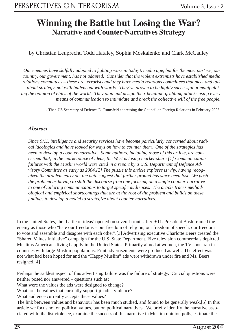### **Winning the Battle but Losing the War? Narrative and Counter-Narratives Strategy**

by Christian Leuprecht, Todd Hataley, Sophia Moskalenko and Clark McCauley

*Our enemies have skilfully adapted to fi ghting wars in today's media age, but for the most part we, our country, our government, has not adapted. Consider that the violent extremists have established media relations committees – these are terrorists and they have media relations committees that meet and talk about strategy, not with bullets but with words. They've proven to be highly successful at manipulating the opinion of elites of the world. They plan and design their headline-grabbing attacks using every means of communication to intimidate and break the collective will of the free people.*

*-* Then US Secretary of Defence D. Rumsfeld addressing the Council on Foreign Relations in February 2006.

#### *Abstract*

*Since 9/11, intelligence and security services have become particularly concerned about radical ideologies and have looked for ways on how to counter them. One of the strategies has been to develop a counter-narrative. Some authors, including those of this article, are concerned that, in the marketplace of ideas, the West is losing market-share.[1] Communication failures with the Muslim world were cited in a report by a U.S. Department of Defence Advisory Committee as early as 2004.[2] The puzzle this article explores is why, having recognized the problem early on, the data suggest that further ground has since been lost. We posit the problem as having to shift the discourse from one focusing on a single counter-narrative to one of tailoring communications to target specifi c audiences. The article traces methodological and empirical shortcomings that are at the root of the problem and builds on these fi ndings to develop a model to strategize about counter-narratives.*

In the United States, the 'battle of ideas' opened on several fronts after 9/11. President Bush framed the enemy as those who "hate our freedoms – our freedom of religion, our freedom of speech, our freedom to vote and assemble and disagree with each other".[3] Advertising executive Charlotte Beers created the "Shared Values Initiative" campaign for the U.S. State Department. Five television commercials depicted Muslims Americans living happily in the United States. Primarily aimed at women, the TV spots ran in countries with large Muslim populations. Print advertisements were produced as well. The effect was not what had been hoped for and the "Happy Muslim" ads were withdrawn under fire and Ms. Beers resigned.[4]

Perhaps the saddest aspect of this advertising failure was the failure of strategy. Crucial questions were neither posed nor answered – questions such as:

What were the values the ads were designed to change?

What are the values that currently support jihadist violence?

What audience currently accepts these values?

The link between values and behaviour has been much studied, and found to be generally weak.[5] In this article we focus not on political values, but on political narratives. We briefly identify the narrative associated with jihadist violence, examine the success of this narrative in Muslim opinion polls, estimate the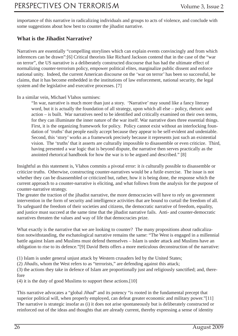importance of this narrative in radicalizing individuals and groups to acts of violence, and conclude with some suggestions about how best to counter the jihadist narrative.

#### **What is the Jihadist Narrative?**

Narratives are essentially "compelling storylines which can explain events convincingly and from which inferences can be drawn":[6] Critical theorists like Richard Jackson contend that in the case of the "war on terror", the US narrative is a deliberately constructed discourse that has had the ultimate effect of normalizing counter-terrorism policy, empower political elites, marginalize public dissent and enforce national unity. Indeed, the current American discourse on the 'war on terror' has been so successful, he claims, that it has become embedded in the institutions of law enforcement, national security, the legal system and the legislative and executive processes. [7]

In a similar vein, Michael Vlahos surmises:

"In war, narrative is much more than just a story. 'Narrative' may sound like a fancy literary word, but it is actually the foundation of all strategy, upon which all else – policy, rhetoric and  $action - is built. War narratives need to be identified and critically examined on their own terms,$ for they can illuminate the inner nature of the war itself. War narrative does three essential things. First, it is the organizing framework for policy. Policy cannot exist without an interlocking foundation of 'truths' that people easily accept because they appear to be self-evident and undeniable. Second, this 'story' works as a framework precisely because it represents just such an existential vision. The 'truths' that it asserts are culturally impossible to disassemble or even criticize. Third, having presented a war logic that is beyond dispute, the narrative then serves practically as the anointed rhetorical handbook for how the war is to be argued and described." [8]

Insightful as this statement is, Vlahos commits a pivotal error: it *is* culturally possible to disassemble or criticize truths. Otherwise, constructing counter-narratives would be a futile exercise. The issue is not whether they can be disassembled or criticized but, rather, how it is being done, the response which the current approach to a counter-narrative is eliciting, and what follows from the analysis for the purpose of counter-narrative strategy.

The greater the traction of the jihadist narrative, the more democracies will have to rely on government intervention in the form of security and intelligence activities that are bound to curtail the freedom of all. To safeguard the freedom of their societies and citizens, the democratic narrative of freedom, equality, and justice must succeed at the same time that the jihadist narrative fails. Anti- and counter-democratic narratives threaten the values and way of life that democracies prize.

What exactly is the narrative that we are looking to counter? The many propositions about radicalization notwithstanding, the eschatological narrative remains the same: "The West is engaged in a millennial battle against Islam and Muslims must defend themselves – Islam is under attack and Muslims have an obligation to rise to its defence."[9] David Betts offers a more meticulous deconstruction of the narrative:

(1) Islam is under general unjust attack by Western crusaders led by the United States;

(2) *Jihadis*, whom the West refers to as "terrorists," are defending against this attack;

 $(3)$  the actions they take in defence of Islam are proportionally just and religiously sanctified; and, therefore

(4) it is the duty of good Muslims to support these actions.[10]

This narrative advocates a "global *Jihad*" and its potency "is rooted in the fundamental precept that superior political will, when properly employed, can defeat greater economic and military power."[11] The narrative is strategic insofar as (i) it does not arise spontaneously but is deliberately constructed or reinforced out of the ideas and thoughts that are already current, thereby expressing a sense of identity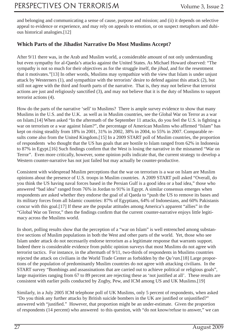and belonging and communicating a sense of cause, purpose and mission; and (ii) it depends on selective appeal to evidence or experience, and may rely on appeals to emotion, or on suspect metaphors and dubious historical analogies.[12]

#### **Which Parts of the Jihadist Narrative Do Most Muslims Accept?**

After 9/11 there was, in the Arab and Muslim world, a considerable amount of not only understanding but even sympathy for al-Qaeda's attacks against the United States. As Michael Howard observed: "The sympathy is not so much for their objectives as for the struggle itself, the *jihad*, and for the resentment that it motivates."[13] In other words, Muslims may sympathize with the view that Islam is under unjust attack by Westerners (1), and sympathize with the terrorists' desire to defend against this attack (2), but still not agree with the third and fourth parts of the narrative. That is, they may not believe that terrorist actions are just and religiously sanctified (3), and may not believe that it is the duty of Muslims to support terrorist actions (4).

How do the parts of the narrative 'sell' to Muslims? There is ample survey evidence to show that many Muslims in the U.S. and the U.K. as well as in Muslim countries, see the Global War on Terror as a war on Islam.[14] When asked "In the aftermath of the September 11 attacks, do you feel the U.S. is fighting a war on terrorism or a war against Islam?", the percentage of American Muslims who affirmed "Islam" has kept on rising steadily from 18% in 2001, 31% in 2002, 38% in 2004, to 55% in 2007. Comparable results come also from the United Kingdom.[15] In a 2009 START poll of Muslim countries, the proportion of respondents who thought that the US has goals that are hostile to Islam ranged from 62% in Indonesia to 87% in Egypt.[16] Such findings confirm that the West is losing the narrative in the misnamed "War on Terror". Even more critically, however, some opinion polls indicate that, the current strategy to develop a Western counter-narrative has not just failed but may actually be counter-productive.

Consistent with widespread Muslim perceptions that the war on terrorism is a war on Islam are Muslim opinions about the presence of U.S. troops in Muslim countries. A 2009 START poll asked "Overall, do you think the US having naval forces based in the Persian Gulf is a good idea or a bad idea," those who answered "bad idea" ranged from 76% in Jordan to 91% in Egypt. A similar consensus emerges when respondents are asked whether they endorse the goal of al Qaeda to "push the US to remove its bases and its military forces from all Islamic countries: 87% of Egyptians, 64% of Indonesians, and 60% Pakistanis concur with this goal.[17] If these are the popular attitudes among America's apparent "allies" in the "Global War on Terror," then the findings confirm that the current counter-narrative enjoys little legitimacy across the Muslims world.

In short, polling results show that the perception of a "war on Islam" is well entrenched among substantive sections of Muslim populations in both the West and other parts of the world. Yet, those who see Islam under attack do not necessarily endorse terrorism as a legitimate response that warrants support. Indeed there is considerable evidence from public opinion surveys that most Muslims do not agree with terrorist tactics. For instance, in the aftermath of 9/11, two-thirds of respondents in Muslims countries rejected the attack on civilians in the World Trade Center as forbidden by the *Qu'ran*.[18] Large proportions of the population of predominantly Muslim countries do not agree with attacking civilians. In the START survey "Bombings and assassinations that are carried out to achieve political or religious goals", large majorities ranging from 67 to 89 percent are rejecting these as 'not justified at all'. These results are consistent with earlier polls conducted by Zogby, Pew, and ICM among US and UK Muslims.[19]

Similarly, in a July 2005 ICM telephone poll of UK Muslims, only 5 percent of respondents, when asked "Do you think any further attacks by British suicide bombers in the UK are justified or unjustified?" answered with "justified." However, that proportion might be an under-estimate. Given the proportion of respondents (14 percent) who answered to this question, with "do not know/refuse to answer," we can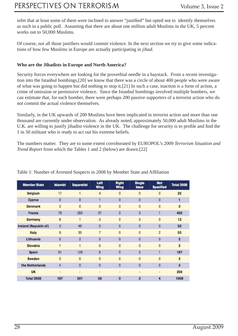infer that at least some of them were inclined to answer "justified" but opted not to identify themselves as such in a public poll. Assuming that there are about one million adult Muslims in the UK, 5 percent works out to 50,000 Muslims.

Of course, not all those justifiers would commit violence. In the next section we try to give some indications of how few Muslims in Europe are actually participating in *jihad.*

#### **Who are the Jihadists in Europe and North America?**

Security forces everywhere are looking for the proverbial needle in a haystack. From a recent investigation into the Istanbul bombings,[20] we know that there was a circle of about 400 people who were aware of what was going to happen but did nothing to stop it.[21] In such a case, inaction is a form of action, a crime of omission or permissive violence. Since the Istanbul bombings involved multiple bombers, we can estimate that, for each bomber, there were perhaps 200 passive supporters of a terrorist action who do not commit the actual violence themselves.

Similarly, in the UK upwards of 200 Muslims have been implicated in terrorist action and more than one thousand are currently under observation. As already noted, approximately 50,000 adult Muslims in the U.K. are willing to justify jihadist violence in the UK. The challenge for security is to profile and find the 1 in 50 militant who is ready to act out his extreme beliefs.

The numbers matter. They are to some extent corroborated by EUROPOL's 2009 *Terrorism Situation and Trend Report* from which the Tables 1 and 2 (below) are drawn.[22]

| <b>Member State</b>   | <b>Islamist</b>          | <b>Separatist</b> | Left<br><b>Wing</b> | <b>Right</b><br><b>Wing</b> | <b>Single</b><br><b>Issue</b> | <b>Not</b><br><b>Specified</b> | <b>Total 2008</b> |
|-----------------------|--------------------------|-------------------|---------------------|-----------------------------|-------------------------------|--------------------------------|-------------------|
| <b>Belgium</b>        | 17                       | $\mathbf{1}$      | $\overline{4}$      | $\bf{0}$                    | $\mathbf{0}$                  | 0                              | 22                |
| <b>Cyprus</b>         | $\bf{0}$                 | $\mathbf 0$       | 1                   | $\overline{0}$              | $\theta$                      | 0                              | 1                 |
| <b>Denmark</b>        | 3                        | $\Omega$          | $\mathbf{0}$        | $\mathbf{0}$                | $\mathbf{0}$                  | $\overline{0}$                 | $\overline{3}$    |
| France                | 78                       | 283               | 37                  | $\mathbf{0}$                | 3                             | 1                              | 402               |
| Germany               | 8                        | 1                 | 3                   | $\mathbf{0}$                | $\mathbf{0}$                  | 0                              | 12                |
| Ireland (Republic of) | 3                        | 49                | $\bf{0}$            | $\bf{0}$                    | $\theta$                      | 0                              | 52                |
| <b>Italy</b>          | $\overline{9}$           | 35                | $\overline{7}$      | $\mathbf{0}$                | $\mathbf{0}$                  | $\overline{c}$                 | 53                |
| Lithuania             | $\bf{0}$                 | $\overline{2}$    | $\overline{0}$      | $\mathbf{0}$                | $\overline{0}$                | 0                              | $\overline{2}$    |
| <b>Slovakia</b>       | 1                        | $\mathbf{1}$      | $\overline{0}$      | $\mathbf{0}$                | $\overline{0}$                | $\overline{0}$                 | $\overline{2}$    |
| <b>Spain</b>          | 61                       | 129               | 6                   | $\bf{0}$                    | $\bf{0}$                      | 1                              | 197               |
| Sweden                | 3                        | $\mathbf{0}$      | $\mathbf{0}$        | $\bf{0}$                    | $\overline{0}$                | $\overline{0}$                 | $\overline{3}$    |
| the Netherlands       | 4                        | $\bf{0}$          | $\bf{0}$            | $\bf{0}$                    | $\bf{0}$                      | 0                              | 4                 |
| <b>UK</b>             | $\overline{\phantom{a}}$ | ۰                 | $\sim$              | $\blacksquare$              | $\sim$                        | ۰                              | 256               |
| <b>Total 2008</b>     | 187                      | 501               | 58                  | $\bf{0}$                    | 3                             | 4                              | 1009              |

Table 1: Number of Arrested Suspects in 2008 by Member State and Affiliation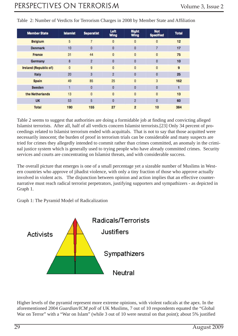| <b>Member State</b>          | <b>Islamist</b> | <b>Separatist</b> | Left<br><b>Wing</b> | <b>Right</b><br><b>Wing</b> | <b>Not</b><br><b>Specified</b> | <b>Total</b> |
|------------------------------|-----------------|-------------------|---------------------|-----------------------------|--------------------------------|--------------|
| <b>Belgium</b>               | 5               | $\overline{7}$    | $\bf{0}$            | $\mathbf{0}$                | $\bf{0}$                       | 12           |
| <b>Denmark</b>               | 10              | 0                 | 0                   | $\bf{0}$                    | 7                              | 17           |
| <b>France</b>                | 31              | 44                | 0                   | $\bf{0}$                    | 0                              | 75           |
| Germany                      | 8               | $\overline{c}$    | 0                   | $\bf{0}$                    | 0                              | 10           |
| <b>Ireland (Republic of)</b> | $\mathbf{0}$    | 9                 | $\bf{0}$            | $\mathbf{0}$                | $\bf{0}$                       | 9            |
| Italy                        | 20              | 3                 | $\overline{2}$      | $\bf{0}$                    | 0                              | 25           |
| <b>Spain</b>                 | 49              | 85                | 25                  | $\mathbf{0}$                | 3                              | 162          |
| Sweden                       | ٠               | $\pmb{0}$         | 0                   | $\bf{0}$                    | 0                              |              |
| the Netherlands              | 13              | $\mathbf{0}$      | $\bf{0}$            | $\mathbf{0}$                | $\bf{0}$                       | 13           |
| <b>UK</b>                    | 53              | 5                 | $\bf{0}$            | $\overline{2}$              | 0                              | 60           |
| <b>Total</b>                 | 190             | 155               | 27                  | $\overline{2}$              | 10                             | 384          |

Table 2: Number of Verdicts for Terrorism Charges in 2008 by Member State and Affiliation

Table 2 seems to suggest that authorities are doing a formidable job at finding and convicting alleged Islamist terrorists. After all, half of all verdicts concern Islamist terrorists.[23] Only 34 percent of proceedings related to Islamist terrorism ended with acquittals. That is not to say that those acquitted were necessarily innocent; the burden of proof in terrorism trials can be considerable and many suspects are tried for crimes they allegedly intended to commit rather than crimes committed, an anomaly in the criminal justice system which is generally used to trying people who have already committed crimes. Security services and courts are concentrating on Islamist threats, and with considerable success.

The overall picture that emerges is one of a small percentage yet a sizeable number of Muslims in Western countries who approve of jihadist violence, with only a tiny fraction of those who approve actually involved in violent acts. The disjunction between opinion and action implies that an effective counternarrative must reach radical terrorist perpetrators, justifying supporters and sympathizers - as depicted in Graph 1.

Graph 1: The Pyramid Model of Radicalization



Higher levels of the pyramid represent more extreme opinions, with violent radicals at the apex. In the aforementioned 2004 *Guardian/ICM poll* of UK Muslims, 7 out of 10 respondents equated the "Global War on Terror" with a "War on Islam" (while 3 out of 10 were neutral on that point); about 5% justified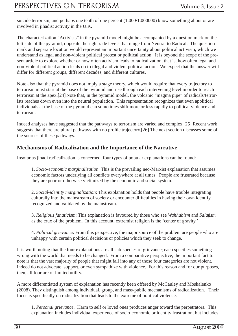suicide terrorism, and perhaps one tenth of one percent (1.000/1.000000) know something about or are involved in jihadist activity in the U.K.

The characterization "Activists" in the pyramid model might be accompanied by a question mark on the left side of the pyramid, opposite the right-side levels that range from Neutral to Radical. The question mark and separate location would represent an important uncertainty about political activism, which we understand as legal and non-violent political protest or political action. It is beyond the scope of the present article to explore whether or how often activism leads to radicalization, that is, how often legal and non-violent political action leads on to illegal and violent political action. We expect that the answer will differ for different groups, different decades, and different cultures.

Note also that the pyramid does not imply a stage theory, which would require that every trajectory to terrorism must start at the base of the pyramid and rise through each intervening level in order to reach terrorism at the apex.[24] Note that, in the pyramid model, the volcanic "magma pipe" of radicals/terrorists reaches down even into the neutral population. This representation recognizes that even apolitical individuals at the base of the pyramid can sometimes shift more or less rapidly to political violence and terrorism.

Indeed analyses have suggested that the pathways to terrorism are varied and complex.[25] Recent work suggests that there are plural pathways with no profile trajectory.[26] The next section discusses some of the sources of these pathways.

#### **Mechanisms of Radicalization and the Importance of the Narrative**

Insofar as jihadi radicalization is concerned, four types of popular explanations can be found:

1. *Socio-economic marginalization*: This is the prevailing neo-Marxist explanation that assumes economic factors underlying all conflicts everywhere at all times. People are frustrated because they are poor or otherwise victimized by the economic and social system.

2. *Social-identity marginalization*: This explanation holds that people have trouble integrating culturally into the mainstream of society or encounter difficulties in having their own identify recognized and validated by the mainstream.

3. *Religious fanaticism*: This explanation is favoured by those who see *Wahhabism* and *Salafi sm* as the crux of the problem. In this account, extremist religion is the 'center of gravity.'

4. *Political grievance*: From this perspective, the major source of the problem are people who are unhappy with certain political decisions or policies which they seek to change.

It is worth noting that the four explanations are all sub-species of grievance; each specifies something wrong with the world that needs to be changed. From a comparative perspective, the important fact to note is that the vast majority of people that might fall into any of those four categories are not violent, indeed do not advocate, support, or even sympathize with violence. For this reason and for our purposes, then, all four are of limited utility.

A more differentiated system of explanation has recently been offered by McCauley and Moskalenko (2008). They distinguish among individual, group, and mass-public mechanisms of radicalization. Their focus is specifically on radicalization that leads to the extreme of political violence.

1. *Personal grievance.* Harm to self or loved ones produces anger toward the perpetrators.This explanation includes individual experience of socio-economic or identity frustration, but includes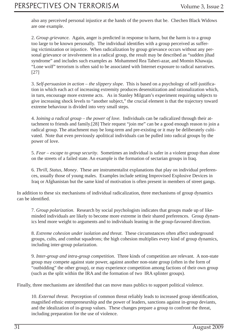also any perceived personal injustice at the hands of the powers that be. Chechen Black Widows are one example.

2. *Group grievance.* Again, anger is predicted in response to harm, but the harm is to a group too large to be known personally. The individual identifies with a group perceived as suffering victimization or injustice. When radicalization by group grievance occurs without any personal grievance or involvement in a radical group, the result may be described as "sudden jihad syndrome" and includes such examples as Mohammed Rea Taheri-azar, and Momin Khawaja. "Lone wolf" terrorism is often said to be associated with Internet exposure to radical narratives. [27]

3. Self-persuasion in action – the slippery slope. This is based on a psychology of self-justification in which each act of increasing extremity produces desensitization and rationalization which, in turn, encourage more extreme acts. As in Stanley Milgram's experiment requiring subjects to give increasing shock levels to "another subject," the crucial element is that the trajectory toward extreme behaviour is divided into very small steps.

4. J*oining a radical group – the power of love.* Individuals can be radicalized through their attachment to friends and family.[28] Their request "join me" can be a good enough reason to join a radical group. The attachment may be long-term and pre-existing or it may be deliberately cultivated. Note that even previously apolitical individuals can be pulled into radical groups by the power of love.

5. *Fear – escape to group security*. Sometimes an individual is safer in a violent group than alone on the streets of a failed state. An example is the formation of sectarian groups in Iraq.

6. *Thrill, Status, Money*. These are instrumentalist explanations that play on individual preferences, usually those of young males. Examples include setting Improvised Explosive Devices in Iraq or Afghanistan but the same kind of motivation is often present in members of street gangs.

In addition to these six mechanisms of individual radicalization, three mechanisms of group dynamics can be identified.

7. *Group polarization*. Research by social psychologists indicates that groups made up of likeminded individuals are likely to become more extreme in their shared preferences. Group dynamics lend more weight to arguments and to individuals leaning in the group-favoured direction.

8. *Extreme cohesion under isolation and threat*. These circumstances often affect underground groups, cults, and combat squadrons; the high cohesion multiplies every kind of group dynamics, including inter-group polarization.

9. *Inter-group and intra-group competition*. Three kinds of competition are relevant. A non-state group may compete against state power, against another non-state group (often in the form of "outbidding" the other group), or may experience competition among factions of their own group (such as the split within the IRA and the formation of two IRA splinter groups).

Finally, three mechanisms are identified that can move mass publics to support political violence.

10. *External threat.* Perception of common threat reliably leads to increased group identification, magnified ethnic entrepreneurship and the power of leaders, sanctions against in-group deviants, and the idealization of in-group values. These changes prepare a group to confront the threat, including preparation for the use of violence.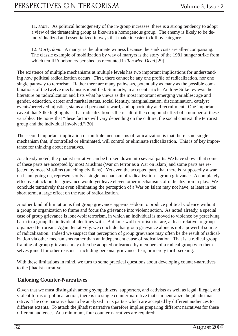11. *Hate*. As political homogeneity of the in-group increases, there is a strong tendency to adopt a view of the threatening group as likewise a homogenous group. The enemy is likely to be deindividualized and essentialized in ways that make it easier to kill by category.

12. *Martyrdom*. A martyr is the ultimate witness because the sunk costs are all-encompassing. The classic example of mobilization by way of martyrs is the story of the 1981 hunger strike from which ten IRA prisoners perished as recounted in *Ten Men Dead*.[29]

The existence of multiple mechanisms at multiple levels has two important implications for understanding how political radicalization occurs. First, there cannot be any one profile of radicalization, nor one single pathway to terrorism. Rather there are many pathways, potentially as many as the possible combinations of the twelve mechanisms identified. Similarly, in a recent article, Andrew Silke reviews the literature on radicalization and lists what he views as the most important emerging variables: age and gender, education, career and marital status, social identity, marginalization, discrimination, catalyst events/perceived injustice, status and personal reward, and opportunity and recruitment. One important caveat that Silke highlights is that radicalization is the result of the compound effect of a number of these variables. He notes that "these factors will vary depending on the culture, the social context, the terrorist group and the individual involved."[30]

The second important implication of multiple mechanisms of radicalization is that there is no single mechanism that, if controlled or eliminated, will control or eliminate radicalization. This is of key importance for thinking about narratives.

As already noted, the jihadist narrative can be broken down into several parts. We have shown that some of these parts are accepted by most Muslims (War on terror as a War on Islam) and some parts are rejected by most Muslims (attacking civilians). Yet even the accepted part, that there is supposedly a war on Islam going on, represents only a single mechanism of radicalization – group grievance. A completely effective attack on this grievance would yet leave eleven other mechanisms of radicalization in play. We conclude tentatively that even eliminating the perception of a War on Islam may not have, at least in the short term, a large effect on the rate of radicalization.

Another kind of limitation is that group grievance appears seldom to produce political violence without a group or organization to frame and focus the grievance into violent action. As noted already, a special case of group grievance is lone-wolf terrorism, in which an individual is moved to violence by perceiving harm to a group the individual identifies with. But lone-wolf terrorism is rare, at least relative to grouporganized terrorism. Again tentatively, we conclude that group grievance alone is not a powerful source of radicalization. Indeed we suspect that perception of group grievance may often be the result of radicalization via other mechanisms rather than an independent cause of radicalization. That is, a radical group framing of group grievance may often be adopted or learned by members of a radical group who themselves joined for other reasons – including personal grievance, fear, or merely thrill-seeking.

With these limitations in mind, we turn to some practical questions about developing counter-narratives to the jihadist narrative.

#### **Tailoring Counter-Narratives**

Given that we must distinguish among sympathizers, supporters, and activists as well as legal, illegal, and violent forms of political action, there is no single counter-narrative that can neutralize the jihadist narrative. The core narrative has to be analyzed in its parts - which are accepted by different audiences to different extents. To attack the jihadist narrative therefore implies preparing different narratives for these different audiences. At a minimum, four counter-narratives are required: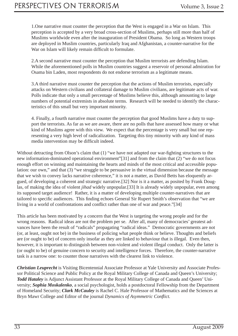1.One narrative must counter the perception that the West is engaged in a War on Islam. This perception is accepted by a very broad cross-section of Muslims, perhaps still more than half of Muslims worldwide even after the inauguration of President Obama. So long as Western troops are deployed in Muslim countries, particularly Iraq and Afghanistan, a counter-narrative for the War on Islam will likely remain difficult to formulate.

2.A second narrative must counter the perception that Muslim terrorists are defending Islam. While the aforementioned polls in Muslim countries suggest a reservoir of personal admiration for Osama bin Laden, most respondents do not endorse terrorism as a legitimate means.

3.A third narrative must counter the perception that the actions of Muslim terrorists, especially attacks on Western civilians and collateral damage to Muslim civilians, are legitimate acts of war. Polls indicate that only a small percentage of Muslims believe this, although amounting to large numbers of potential extremists in absolute terms. Research will be needed to identify the characteristics of this small but very important minority.

4. Finally, a fourth narrative must counter the perception that good Muslims have a duty to support the terrorists. As far as we are aware, there are no polls that have assessed how many or what kind of Muslims agree with this view. We expect that the percentage is very small but one representing a very high level of radicalization. Targeting this tiny minority with any kind of mass media intervention may be difficult indeed.

Without detracting from Olson's claim that  $(1)$  "we have not adapted our war-fighting structures to the new information-dominated operational environment"[31] and from the claim that (2) "we do not focus enough effort on winning and maintaining the hearts and minds of the most critical and accessible population: our own," and that (3) "we struggle to be persuasive in the virtual dimension because the message that we wish to convey lacks narrative coherence," it is not a matter, as David Betts has eloquently argued, of developing a coherent and strategic narrative.[32] Nor is it a matter, as posited by Frank Douglas, of making the idea of violent *jihad* widely unpopular.[33] It is already widely unpopular, even among its supposed target audience! Rather, it is a matter of developing multiple counter-narratives that are tailored to specific audiences. This finding echoes General Sir Rupert Smith's observation that "we are living in a world of confrontations and conflict rather than one of war and peace."[34]

This article has been motivated by a concern that the West is targeting the wrong people and for the wrong reasons. Radical ideas are not the problem per se. After all, many of democracies' greatest advances have been the result of "radicals" propagating "radical ideas." Democratic governments are not (or, at least, ought not be) in the business of policing what people think or believe. Thoughts and beliefs are (or ought to be) of concern only insofar as they are linked to behaviour that is illegal. Even then, however, it is important to distinguish between non-violent and violent illegal conduct. Only the latter is (or ought to be) of genuine concern to security and intelligence forces. Therefore, the counter-narrative task is a narrow one: to counter those narratives with the clearest link to violence.

*Christian Leuprecht* is Visiting Bicentennial Associate Professor at Yale University and Associate Professor Political Science and Public Policy at the Royal Military College of Canada and Queen's University; *Todd Hataley* is Adjunct Assistant Professor at the Royal Military College of Canada and Queen' University; *Sophia Moskalenko*, a social psychologist, holds a postdoctoral Fellowship from the Department of Homeland Security; *Clark McCauley* is Rachel C. Hale Professor of Mathematics and the Sciences at Bryn Mawr College and Editor of the journal *Dynamics of Asymmetric Conflict*.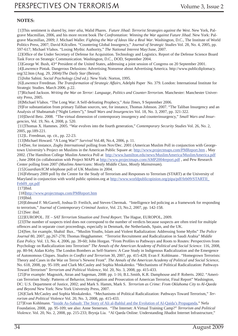#### **NOTES:**

 [1]This sentiment is shared by, *inter alia*, Walid Phares. *Future Jihad: Terrorist Strategies against the West*. New York, Palgrave Macmillan, 2006, and his more recent book *The Confrontation: Winning the War against Future Jihad*. New York: Palgrave Macmillan, 2009; J. Michael Waller. *Fighting the War of Ideas like a Real War*. Washington, D.C., The Institute of World Politics Press, 2007; David Kilcullen. "Countering Global Insurgency," *Journal of Strategic Studies* Vol. 28, No. 4, 2005, pp. 597-617; Michael Vlahos. "Losing Mythic Authority," *The National Interest* May/June, 2007.

[2]Office of the Under Secretary of Defense for Acquisition. Technology and Logistics. Report of the Defense Science Board Task Force on Strategic Communication. Washington, D.C., DOD, September 2004.

[3]George W. Bush, 43rd President of the United States, addressing a joint session of Congress on 20 September 2001.

 [4]Lawrence Pintak. Dangerous Delusions: Advertising Nonsense about Advertising America. http://www.publicdiplomacy. org/32.htm (Aug. 29, 2004)/*The Daily Star* (Beirut).

[5]John Sabini. *Social Psychology (2nd ed.)*. New York: Norton, 1995.

 [6]Lawrence Freedman. *The Transformation of Strategic Affairs*, Adelphi Paper No. 379. London: International Institute for Strategic Studies. March 2006. p.22.

 [7]Richard Jackson. *Writing the War on Terror: Language, Politics and Counter-Terrorism.* Manchester: Manchester University Press, 2005.

[8]Michael Vlahos. "The Long War: A Self-defeating Prophecy," *Asia Times,* 9 September 2006.

 [9]For substantiation from primary Taliban sources, see, for instance, Thomas Johnson. 2007. "The Taliban Insurgency and an Analysis of Shabnamah ("Night Letters")," *Small Wars and Insurgencies* Vol. 18, No. 3, 2007, pp. 321-322.

 [10]David Betz. 2008. "The virtual dimension of contemporary insurgency and counterinsurgency," *Small Wars and Insurgencies,* Vol. 19, No. 4, 2008, p. 520.

 [11]Thomas X. Hammes. 2005. "War evolves into the fourth generation," *Contemporary Security Studies* Vol. 26, No. 2, 2005, pp.189-221.

[12]L. Freedman, op. cit., pp. 22-23.

[13]Michael Howard. "A Long War?" *Survival* Vol.48, No.4, 2006, p. 11.

 [14]See, for instance, *Zogby International* polling from Nov/Dec. 2001 (American Muslim Poll in conjunction with Georgetown University's Project on Muslims in the American Public Square at: http://www.projectmaps.com/PMReport.htm , May 2002. (The Hamilton College Muslim America Poll at http://www.hamilton.edu/news/MuslimAmerica/MuslimAmerica.pdf , June 2004 (in collaboration with Project MAPS at http://www.projectmaps.com/AMP2004report.pdf , and Pew Research Center polling from 2007 (*Muslims Americans: Mostly Middle Class, Mostly Mainstream*).

 *[15]Guardian/ICM* telephone poll of UK Muslims in 2004.

 [16]February 2009 poll by the Centre for the Study of Terrorism and Responses to Terrorism (START) at the University of Maryland in conjunction with world public opinion.org at http://www.worldpublicopinion.org/pipa/pdf/feb09/STARTII Feb09\_rpt.pdf

[17]Ibid.

[18]http://www.projectmaps.com/PMReport.htm

[19]Ibid.

 [20]Edmund F. McGarrell, Joshua D. Freilich, and Steven Chermak. "Intelligence led policing as a framework for responding to terrorism," *Journal of Contemporary Criminal Justice,* Vol. 23, No.2, 2007, pp. 142-158.

[21]See: ibid.

[22]EUROPOL. *TE – SAT Terrorism Situation and Trend Report*. The Hague, EUROPOL, 2009.

 [23]The number of suspects tried does not correspond to the number of verdicts because suspects are often tried for multiple offences and in separate court proceedings, especially in Denmark, the Netherlands, Spain, and the UK.

 [24]See, for example, Shahid Bux.. "Muslim Youths, Islam and Violent Radialization: Addressing Some Myths" *The Police Journal* 80, 2007, pp.267-278; Thomas Hegghammer. "Terrorist Recruitment and Radicalization in Saudi Arabia" *Middle East Policy.* Vol. 13, No. 4, 2006, pp. 39-60; John Horgan. "From Profiles to Pathways and Roots to Routes: Perspectives from Psychology on Radicalization into Terrorism" *The Annals of the American Academy of Political and Social Science.* 116, 2008, pp. 80-94; Aidan Kirby. The London Bombers as Self-Starters: A Case Study in Indigenous Radicalization and the Emergence of Autonomous Cliques. *Studies in Conflict and Terrorism* 30, 2007, pp. 415-428; Evan F. Kohlmann . "Homegrown Terrorists: Theory and Cases in the War on Terror's Newest Front". *The Annals of the American Academy of Political and Social Science*, No. 618, 2008, pp. 95-109; and Clark McCauley and Sophia Moskalenko. "Mechanisms of Political Radicalization: Pathways Toward Terrorism" *Terrorism and Political Violence, Vol.* 20, No. 3, 2008, pp. 415-433.

 [25]For example: Magouirk, Atran and Sageman, 2008: pp. 1-16; B.L.Smith, K.R. Damphouse and P. Roberts. 2002. "American Terrorism Study: Patterns of Behavior, Investigation and Prosecution of American Terrorist, Final Report" Washington, DC: U.S. Department of Justice, 2002; and Mark S. Hamm, Mark S. *Terrorism as Crime: From Oklahoma City to Al-Qaeda and Beyond* New York: New York University Press, 2007.

 [26]Clark McCauley and Sophia Moskalenko. "Mechanisms of Political Radicalization: Pathways Toward Terrorism," *Terrorism and Political Violence* Vol. 20, No. 3, 2008, pp. 415-433.

[27]Evan Kohlmann. "Inside As-Sahaab: The Story of Ali al-Bahlul and the Evolution of Al-Qaida's Propaganda," Nefa Foundation, 2008, pp. 95-109; see also: Anne Stenersen. "The Internet: A Virtual Training Camp?" *Terrorism and Political Violence.* Vol. 20, No. 2, 2008, pp. 215-233; Brynja Lia. "Al Qaeda Online: Understanding Jihadist Internet Infrastructure,"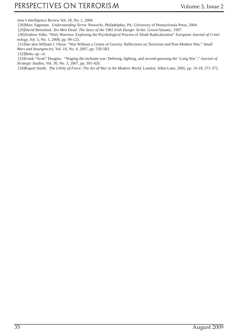*Jane's Intelligence Review* Vol. 18, No. 1, 2006.

[28]Marc Sageman. *Understanding Terror Networks*. Philadelphia, PA: University of Pennsylvania Press, 2004.

[29]David Beresford. *Ten Men Dead: The Story of the 1981 Irish Hunger Strike*. Grove/Atlantic, 1997.

 [30]Andrew Silke. "Holy Warriors: Exploring the Psychological Process of Jihadi Radicalization" *European Journal of Criminology, Vol.* 5, No. 1, 2008, pp. 99-123.

[31]See also William J. Olson. "War Without a Centre of Gravity: Reflections on Terrorism and Post-Modern War," Small *Wars and Insurgencies,* Vol. 18, No. 4, 2007, pp. 559-583.

[32]Betts, *op. cit*.

[33]Frank "Scott" Douglas. "Waging the inchoate war: Defining, fighting, and second-guessing the 'Long War'," *Journal of Strategic Studies,* Vol. 30, No. 3, 2007, pp. 391-420.

[34]Rupert Smith. *The Utility of Force: The Art of War in the Modern World.* London: Allen Lane, 2005, pp. 16-18, 371-372.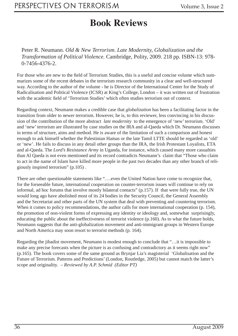### **Book Reviews**

Peter R. Neumann. *Old & New Terrorism*. *Late Modernity, Globalization and the Transformation of Political Violence.* Cambridge, Polity, 2009. 218 pp. ISBN-13: 978- 0-7456-4376-2.

For those who are new to the field of Terrorism Studies, this is a useful and concise volume which summarizes some of the recent debates in the terrorism research community in a clear and well-structured way. According to the author of the volume - he is Director of the International Center for the Study of Radicalisation and Political Violence (ICSR) at King's College, London – it was written out of frustration with the academic field of 'Terrorism Studies' which often studies terrorism out of context.

Regarding context, Neumann makes a credible case that *globalization* has been a facilitating factor in the transition from older to newer terrorism. However, he is, to this reviewer, less convincing in his discussion of the contribution of the more abstract *late modernity* to the emergence of 'new' terrorism. 'Old' and 'new' terrorism are illustrated by case studies on the IRA and al-Qaeda which Dr. Neumann discusses in terms of structure, aims and method. He is aware of the limitation of such a comparison and honest enough to ask himself whether the Palestinian Hamas or the late Tamil LTTE should be regarded as 'old' or 'new'. He fails to discuss in any detail other groups than the IRA, the Irish Protestant Loyalists, ETA and al-Qaeda. The *Lord's Resistance Army* in Uganda, for instance, which caused many more casualties than Al Qaeda is not even mentioned and its record contradicts Neumann's claim that "Those who claim to act in the name of Islam have killed more people in the past two decades than any other branch of religiously inspired terrorism" (p.105) .

There are other questionable statements like "....even the United Nation have come to recognize that, for the forseeable future, international cooperation on counter-terrorism issues will continue to rely on informal, ad hoc forums that involve mostly bilateral contacts" (p.157). If that were fully true, the UN would long ago have abolished most of its 24 bodies in the Security Council, the General Assembly and the Secretariat and other parts of the UN system that deal with preventing and countering terrorism. When it comes to policy recommendations, the author calls for more international cooperation (p. 154), the promotion of non-violent forms of expressing any identity or ideology and, somewhat surprisingly, educating the public about the ineffectiveness of terrorist violence (p.160). As to what the future holds, Neumann suggests that the anti-globalization movement and anti-immigrant groups in Western Europe and North America may soon resort to terrorist methods (p. 164).

Regarding the jihadist movement, Neumann is modest enough to conclude that "…it is impossible to make any precise forecasts when the picture is as confusing and contradictory as it seems right now" (p.165). The book covers some of the same ground as Brynjar Lia's magisterial 'Globalisation and the Future of Terrorism. Patterns and Predictions' (London, Routledge, 2005) but cannot match the latter's scope and originality. – *Reviewed by A.P. Schmid (Editor PT)*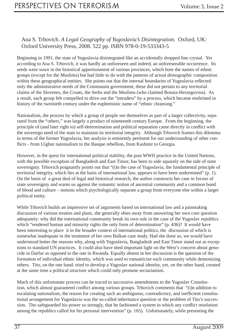#### Ana S. Trbovich. *A Legal Geography of Yugoslavia's Disintegration.* Oxford, UK: Oxford University Press, 2008. 522 pp. ISBN 978-0-19-533343-5

Beginning in 1991, the state of Yugoslavia disintegrated like an accidentally dropped fine crystal. Yet according to Ana S. Trbovich, it was hardly an unforeseen and indeed, an unforeseeable occurrence. Its seeds were sown in the historical apportionment of various provinces, which bore the names of ethnic groups (except for the Muslims) but had little to do with the patterns of actual demographic composition within these geographical entities. She points out that the internal boundaries of Yugoslavia reflected only the administrative needs of the Communist government; these did not pertain to any territorial claims of the Slovenes, the Croats, the Serbs and the Muslims (who claimed Bosnia-Herzegovina). As a result, each group felt compelled to drive out the "intruders" by a process, which became enshrined in history of the twentieth century under the euphemistic name of "ethnic cleansing."

Nationalism, the process by which a group of people see themselves as part of a larger collectivity, separated from the "others," was largely a product of nineteenth century Europe. From the beginning, the principle of (and later right to) self-determination and political separation came directly in conflict with the sovereign need of the state to maintain its territorial integrity. Although Trbovich frames this dilemma in terms of the former Yugoslavia, her analysis is eminently pertinent for our understanding of other conflicts - from Uighur nationalism to the Basque rebellion, from Kashmir to Georgia.

However, in the quest for international political stability, the post WWII practice in the United Nations, with the possible exception of Bangladesh and East Timor, has been to side squarely on the side of state sovereignty. Trbovich poignantly points out that "(i)n the case of Yugoslavia, the fundamental principle of territorial integrity, which lies at the basis of international law, appears to have been undermined" (p. 1). On the basis of a great deal of legal and historical research, the author constructs her case in favour of state sovereignty and warns us against the romantic notion of ancestral community and a common bond of blood and culture – notions which psychologically separate a group from everyone else within a larger political entity.

While Trbovich builds an impressive set of arguments based on international law and a painstaking discussion of various treaties and plans, she generally shies away from answering her own core question adequately: why did the international community break its own rule in the case of the Yugoslav republics which "rendered human and minority rights the only form of determination" (p. 436)? It would have been interesting to place it in the broader context of international politics, the discussion of which is somewhat inadequate in the treatment of her own Balkan case study. Had she done so, we would have understood better the reasons why, along with Yugoslavia, Bangladesh and East Timor stand out as exceptions to standard UN practices. It could also have shed important light on the West's concern about genocide in Darfur as opposed to the one in Rwanda. Equally absent in her discussion is the question of the formation of individual ethnic identity, which was used to romanticize each community while demonizing others. Tito, on the one hand, tried to develop a Yugoslav national identity, yet, on the other hand, created at the same time a political structure which could only promote sectarianism.

Much of this unfortunate process can be traced to successive amendments to the Yugoslav Constitution, which almost guaranteed conflict among various groups. Trbovich comments that "(i)n addition to escalating nationalism, the reason for creating such an ambiguous, contradictory, and inefficient constitutional arrangement for Yugoslavia was the so-called inheritance question or the problem of Tito's succession. Tito safeguarded his power so strongly, that he fashioned a system in which any conflict resolution among the republics called for his personal intervention" (p. 165). Unfortunately, while presenting the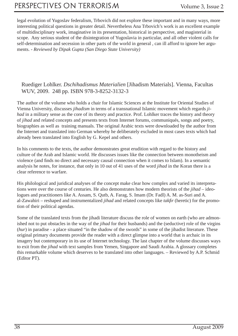legal evolution of Yugoslav federalism, Trbovich did not explore these important and in many ways, more interesting political questions in greater detail. Nevertheless Ana Trbovich's work is an excellent example of multidisciplinary work, imaginative in its presentation, historical in perspective, and magisterial in scope. Any serious student of the disintegration of Yugoslavia in particular, and all other violent calls for self-determination and secession in other parts of the world in general , can ill afford to ignore her arguments. - *Reviewed by Dipak Gupta (San Diego State University)* 

#### Ruediger Lohlker. *Dschihadismus Materialien* [Jihadism Materials]. Vienna, Facultas WUV, 2009. 248 pp. ISBN 978-3-8252-3132-3

The author of the volume who holds a chair for Islamic Sciences at the Institute for Oriental Studies of Vienna University, discusses *jihadism* in terms of a transnational Islamic movement which regards *jihad* in a military sense as the core of its theory and practice. Prof. Lohlker traces the history and theory of *jihad* and related concepts and presents texts from Internet forums, communiqués, songs and poetry, biographies as well as training manuals. The original Arabic texts were downloaded by the author from the Internet and translated into German whereby he deliberately excluded in most cases texts which had already been translated into English by G. Kepel and others.

In his comments to the texts, the author demonstrates great erudition with regard to the history and culture of the Arab and Islamic world. He discusses issues like the connection between monotheism and violence (and finds no direct and necessary causal connection when it comes to Islam). In a semantic analysis he notes, for instance, that only in 10 out of 41 uses of the word *jihad* in the Koran there is a clear reference to warfare.

His philological and juridical analyses of the concept make clear how complex and varied its interpretations were over the course of centuries. He also demonstrates how modern theorists of the *jihad* – ideologues and practitioners like A. Assam, S. Qutb, A. Farag, S. Imam (Dr. Fadl) A. M. as-Suri and A. al-Zawahiri – reshaped and instrumentalized *jihad* and related concepts like *takfi r* (heretic) for the promotion of their political agendas.

Some of the translated texts from the jihadi literature discuss the role of women on earth (who are admonished not to put obstacles in the way of the *jihad* for their husbands) and the (seductive) role of the virgins (*hur*) in paradise - a place situated "in the shadow of the swords" in some of the jihadist literature. These original primary documents provide the reader with a direct glimpse into a world that is archaic in its imagery but contemporary in its use of Internet technology. The last chapter of the volume discusses ways to exit from the *jihad* with text samples from Yemen, Singapore and Saudi Arabia. A glossary completes this remarkable volume which deserves to be translated into other languages. – Reviewed by A.P. Schmid (Editor PT).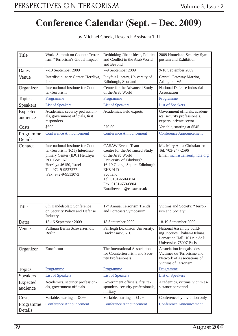### **Conference Calendar (Sept. – Dec. 2009)**

by Michael Cheek, Research Assistant TRI

| <b>Title</b>         | World Summit on Counter Terror-<br>ism: "Terrorism's Global Impact"                                                                                                                         | Rethinking Jihad: Ideas, Politics<br>and Conflict in the Arab World<br>and Beyond                                                                                                                                                          | 2009 Homeland Security Sym-<br>posium and Exhibition                                                               |
|----------------------|---------------------------------------------------------------------------------------------------------------------------------------------------------------------------------------------|--------------------------------------------------------------------------------------------------------------------------------------------------------------------------------------------------------------------------------------------|--------------------------------------------------------------------------------------------------------------------|
| Dates                | 7-10 September 2009                                                                                                                                                                         | 7-9 September 2009                                                                                                                                                                                                                         | 9-10 September 2009                                                                                                |
| Venue                | Interdisciplinary Center, Herzliya,<br>Israel                                                                                                                                               | Playfair Library, University of<br>Edinburgh, Scotland                                                                                                                                                                                     | Crystal Gateway Marriot,<br>Arlington, VA                                                                          |
| Organizer            | International Institute for Coun-<br>ter-Terrorism                                                                                                                                          | Centre for the Advanced Study<br>of the Arab World                                                                                                                                                                                         | National Defense Industrial<br>Association                                                                         |
| <b>Topics</b>        | Programme                                                                                                                                                                                   | Programme                                                                                                                                                                                                                                  | Programme                                                                                                          |
| <b>Speakers</b>      | <b>List of Speakers</b>                                                                                                                                                                     | <b>List of Speakers</b>                                                                                                                                                                                                                    | <b>List of Speakers</b>                                                                                            |
| Expected<br>audience | Academics, security profession-<br>als, government officials, first<br>responders                                                                                                           | Academics, field experts                                                                                                                                                                                                                   | Government officials, academ-<br>ics, security professionals,<br>experts, private sector                           |
| Costs                | \$600                                                                                                                                                                                       | £70.00                                                                                                                                                                                                                                     | Variable, starting at \$545                                                                                        |
| Programme<br>Details | <b>Conference Announcement</b>                                                                                                                                                              | <b>Conference Announcement</b>                                                                                                                                                                                                             | <b>Conference Announcement</b>                                                                                     |
| Contact              | International Institute for Coun-<br>ter-Terrorism (ICT) Interdisci-<br>plinary Center (IDC) Herzliya<br>P.O. Box 167<br>Herzilya 46150, Israel<br>Tel: 972-9-9527277<br>Fax: 972-9-9513073 | <b>CASAW</b> Events Team<br>Centre for the Advanced Study<br>of the Arab World<br>University of Edinburgh<br>16-19 George Square Edinburgh<br>EH8 9LD<br>Scotland<br>Tel: 0131-650-6814<br>Fax: 0131-650-6804<br>Email: events@casaw.ac.uk | Ms. Mary Anna Christiansen<br>Tel: 703-247-2596<br>Email: mchristiansen@ndia.org                                   |
|                      |                                                                                                                                                                                             |                                                                                                                                                                                                                                            |                                                                                                                    |
| <b>Title</b>         | 6th Handelsblatt Conference<br>on Security Policy and Defense<br>Industry                                                                                                                   | 17th Annual Terrorism Trends<br>and Forecasts Symposium                                                                                                                                                                                    | Victims and Society: "Terror-<br>ism and Society"                                                                  |
| Dates                | 15-16 September 2009                                                                                                                                                                        | 18 September 2009                                                                                                                                                                                                                          | 18-19 September 2009                                                                                               |
| Venue                | Pullman Berlin Schweizerhof,<br>Berlin                                                                                                                                                      | Fairleigh Dickinson University,<br>Hackensack, N.J.                                                                                                                                                                                        | National Assembly build-<br>ing Jacques Chaban-Delmas,<br>Lamartine Hall, 101 rue de l'<br>Université, 75007 Paris |
| Organizer            | Euroforum                                                                                                                                                                                   | The International Association<br>for Counterterrorism and Secu-<br>rity Professionals                                                                                                                                                      | Association française des<br>Victimes du Terrorisme and<br>Network of Associations of<br>Victims of Terrorism      |
| <b>Topics</b>        | Programme                                                                                                                                                                                   | Programme                                                                                                                                                                                                                                  | Programme                                                                                                          |
| <b>Speakers</b>      | <b>List of Speakers</b>                                                                                                                                                                     | <b>List of Speakers</b>                                                                                                                                                                                                                    | <b>List of Speakers</b>                                                                                            |
| Expected<br>audience | Academics, security profession-<br>als, government officials                                                                                                                                | Government officials, first re-<br>sponders, security professionals,<br>military                                                                                                                                                           | Academics, victims, victim as-<br>sistance personnel                                                               |
| Costs                | Variable, starting at €399                                                                                                                                                                  | Variable, starting at \$129                                                                                                                                                                                                                | Conference by invitation only                                                                                      |
| Programme<br>Details | <b>Conference Announcement</b>                                                                                                                                                              | <b>Conference Announcement</b>                                                                                                                                                                                                             | <b>Conference Announcement</b>                                                                                     |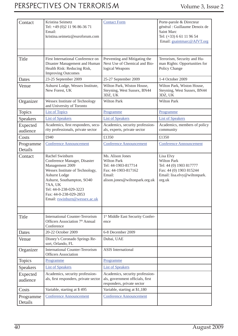### PERSPECTIVES ON TERRORISM Volume 3, Issue 2

| Contact              | Kristina Seimetz<br>Tel: +49 (0)2 11 96 86-36 71<br>Email:<br>kristina.seimetz@euroforum.com                                                                                                                                                                | <b>Contact Form</b>                                                                                                              | Porte-parole & Directeur<br>général : Guillaume Denoix de<br><b>Saint Marc</b><br>Tel: (+33) 6 61 11 96 54<br>Email: gsaintmarc@AfVT.org |
|----------------------|-------------------------------------------------------------------------------------------------------------------------------------------------------------------------------------------------------------------------------------------------------------|----------------------------------------------------------------------------------------------------------------------------------|------------------------------------------------------------------------------------------------------------------------------------------|
|                      |                                                                                                                                                                                                                                                             |                                                                                                                                  |                                                                                                                                          |
| Title                | First International Conference on<br>Disaster Management and Human<br>Health Risk: Reducing Risk,<br><b>Improving Outcomes</b>                                                                                                                              | Preventing and Mitigating the<br>Next Use of Chemical and Bio-<br>logical Weapons                                                | Terrorism, Security and Hu-<br>man Rights: Opportunities for<br>Policy Change                                                            |
| Dates                | 23-25 September 2009                                                                                                                                                                                                                                        | 25-27 September 2009                                                                                                             | 1-4 October 2009                                                                                                                         |
| Venue                | Ashurst Lodge, Wessex Institute,<br>New Forest, UK                                                                                                                                                                                                          | Wilton Park, Wiston House,<br>Steyning, West Sussex, BN44<br>3DZ, UK                                                             | Wilton Park, Wiston House,<br>Steyning, West Sussex, BN44<br>3DZ, UK                                                                     |
| Organizer            | Wessex Institute of Technology<br>and University of Toronto                                                                                                                                                                                                 | <b>Wilton Park</b>                                                                                                               | <b>Wilton Park</b>                                                                                                                       |
| <b>Topics</b>        | <b>List of Topics</b>                                                                                                                                                                                                                                       | Programme                                                                                                                        | Programme                                                                                                                                |
| Speakers             | <b>List of Speakers</b>                                                                                                                                                                                                                                     | <b>List of Speakers</b>                                                                                                          | <b>List of Speakers</b>                                                                                                                  |
| Expected<br>audience | Academics, first responders, secu-<br>rity professionals, private sector                                                                                                                                                                                    | Academics, security profession-<br>als, experts, private sector                                                                  | Academics, members of policy<br>community                                                                                                |
| Costs                | £940                                                                                                                                                                                                                                                        | £1350                                                                                                                            | £1350                                                                                                                                    |
| Programme<br>Details | <b>Conference Announcement</b>                                                                                                                                                                                                                              | <b>Conference Announcement</b>                                                                                                   | <b>Conference Announcement</b>                                                                                                           |
| Contact              | Rachel Swinburn<br>Conference Manager, Disaster<br>Management 2009<br>Wessex Institute of Technology,<br><b>Ashurst Lodge</b><br>Ashurst, Southampton, SO40<br>7AA, UK<br>Tel: 44-0-238-029-3223<br>Fax: 44-0-238-029-2853<br>Email: rswinburn@wessex.ac.uk | Ms. Alison Jones<br><b>Wilton Park</b><br>Tel: 44-1903-817714<br>Fax: 44-1903-817162<br>Email:<br>alison.jones@wiltonpark.org.uk | Lisa Elvy<br><b>Wilton Park</b><br>Tel: 44 (0) 1903 817777<br>Fax: 44 (0) 1903 815244<br>Email: lisa.elvy@wiltonpark.<br>org.uk          |
|                      |                                                                                                                                                                                                                                                             |                                                                                                                                  |                                                                                                                                          |
| Title                | <b>International Counter-Terrorism</b><br>Officers Association 7 <sup>th</sup> Annual<br>Conference                                                                                                                                                         | 1 <sup>st</sup> Middle East Security Confer-<br>ence                                                                             |                                                                                                                                          |
| Dates                | 20-22 October 2009                                                                                                                                                                                                                                          | 6-8 December 2009                                                                                                                |                                                                                                                                          |
| Venue                | Disney's Coronado Springs Re-<br>sort, Orlando, FL                                                                                                                                                                                                          | Dubai, UAE                                                                                                                       |                                                                                                                                          |
| Organizer            | <b>International Counter-Terrorism</b><br><b>Officers Association</b>                                                                                                                                                                                       | <b>ASIS</b> International                                                                                                        |                                                                                                                                          |
| <b>Topics</b>        | Programme                                                                                                                                                                                                                                                   | Programme                                                                                                                        |                                                                                                                                          |
| <b>Speakers</b>      | <b>List of Speakers</b>                                                                                                                                                                                                                                     | <b>List of Speakers</b>                                                                                                          |                                                                                                                                          |
| Expected<br>audience | Academics, security profession-<br>als, first responders, private sector                                                                                                                                                                                    | Academics, security profession-<br>als, government officials, first<br>responders, private sector                                |                                                                                                                                          |
| Costs                | Variable, starting at \$495                                                                                                                                                                                                                                 | Variable, starting at \$1,180                                                                                                    |                                                                                                                                          |
| Programme<br>Details | <b>Conference Announcement</b>                                                                                                                                                                                                                              | <b>Conference Announcement</b>                                                                                                   |                                                                                                                                          |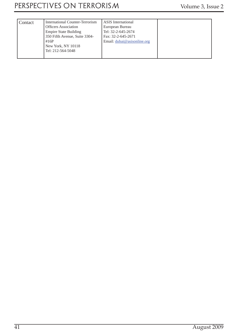| Contact | International Counter-Terrorism | <b>ASIS</b> International   |  |
|---------|---------------------------------|-----------------------------|--|
|         | <b>Officers Association</b>     | European Bureau             |  |
|         | <b>Empire State Building</b>    | Tel: 32-2-645-2674          |  |
|         | 350 Fifth Avenue, Suite 3304-   | Fax: 32-2-645-2671          |  |
|         | #16P                            | Email: dubai@asisonline.org |  |
|         | New York, NY 10118              |                             |  |
|         | Tel: 212-564-5048               |                             |  |
|         |                                 |                             |  |
|         |                                 |                             |  |